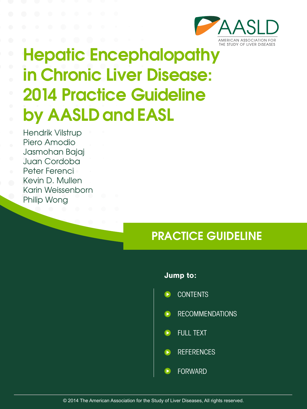

# <span id="page-0-0"></span>Hepatic Encephalopathy in Chronic Liver Disease: 2014 Practice Guideline by AASLD and EASL

Hendrik Vilstrup Piero Amodio Jasmohan Bajaj Juan Cordoba Peter Ferenci Kevin D. Mullen Karin Weissenborn Philip Wong

## PRACTICE GUIDELINE

## Jump to:

 $\bullet$ **[CONTENTS](#page-1-0)** [RECOMMENDATIONS](#page-2-0) P  $\bullet$ [FULL TEXT](#page-39-0) [REFERENCES](#page-66-0)  $\bullet$ [FORWARD](#page-1-0)

© 2014 The American Association for the Study of Liver Diseases, All rights reserved.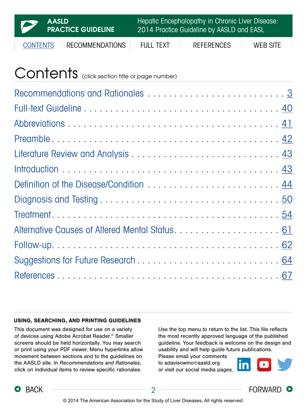<span id="page-1-0"></span>

|                 | <b>AASLD</b><br><b>PRACTICE GUIDELINE</b> | Hepatic Encephalopathy in Chronic Liver Disease:<br>2014 Practice Guideline by AASLD and EASL |  |            |  |                 |  |
|-----------------|-------------------------------------------|-----------------------------------------------------------------------------------------------|--|------------|--|-----------------|--|
| <b>CONTENTS</b> | RECOMMENDATIONS                           | FULL TEXT                                                                                     |  | REFERENCES |  | <b>WEB SITE</b> |  |

| Contents (click section title or page number)                                                                                                                                                                                  |
|--------------------------------------------------------------------------------------------------------------------------------------------------------------------------------------------------------------------------------|
| Recommendations and Rationales Material Accommendations and Rationales                                                                                                                                                         |
| Full-text Guideline 40                                                                                                                                                                                                         |
|                                                                                                                                                                                                                                |
|                                                                                                                                                                                                                                |
|                                                                                                                                                                                                                                |
|                                                                                                                                                                                                                                |
|                                                                                                                                                                                                                                |
|                                                                                                                                                                                                                                |
|                                                                                                                                                                                                                                |
|                                                                                                                                                                                                                                |
| Follow-up 62                                                                                                                                                                                                                   |
| Suggestions for Future Research Manuscript Contract Contract Contract Contract Contract Contract Contract Contract Contract Contract Contract Contract Contract Contract Contract Contract Contract Contract Contract Contract |
|                                                                                                                                                                                                                                |

#### USING, SEARCHING, AND PRINTING GUIDELINES

This document was designed for use on a variety of devices using Adobe Acrobat Reader.® Smaller screens should be held horizontally. You may search or print using your PDF viewer. Menu hyperlinks allow movement between sections and to the guidelines on the AASLD site. In *Recommendations and Rationales*, click on individual items to review specific rationales.

Use the top menu to return to the list. This file reflects the most recently approved language of the published guideline. Your feedback is welcome on the design and usability and will help guide future publications.

Please email your comments to [adavisowino@aasld.org](mailto:adavisowino%40aasld.org?subject=Guidelines%20PDF%20Feedback) or visit our social media pages.



O [BACK](#page-0-0) **[FORWARD](#page-2-0)** 2 **FORWARD** 2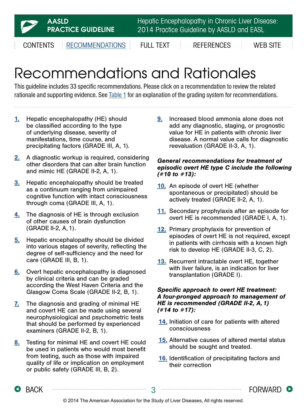AASLD PRACTICE GUIDELINE Hepatic Encephalopathy in Chronic Liver Disease: 2014 Practice Guideline by AASLD and EASL

<span id="page-2-0"></span>

- [CONTENTS](#page-1-0) RECOMMENDATIONS [FULL TEXT](#page-39-0) [REFERENCES](#page-66-0) [WEB SITE](http://aasld.org/practiceguidelines/Pages/guidelinelisting.aspx)
	-

## Recommendations and Rationales

This guideline includes 33 specific recommendations. Please click on a recommendation to review the related rationale and supporting evidence. See [Table 1](#page-41-0) for an explanation of the grading system for recommendations.

- 1. Hepatic encephalopathy (HE) should [be classified according to the type](#page-4-0)  [of underlying disease, severity of](#page-4-0)  [manifestations, time course, and](#page-4-0)  [precipitating factors \(GRADE III, A, 1\).](#page-4-0)
- 2. A diagnostic workup is required, considering [other disorders that can alter brain function](#page-5-0)  [and mimic HE \(GRADE II-2, A, 1\).](#page-5-0)
- **3.** Hepatic encephalopathy should be treated [as a continuum ranging from unimpaired](#page-6-0)  [cognitive function with intact consciousness](#page-6-0)  [through coma \(GRADE III, A, 1\).](#page-6-0)
- 4. The diagnosis of HE is through exclusion [of other causes of brain dysfunction](#page-8-0)  [\(GRADE II-2, A, 1\).](#page-8-0)
- 5. [Hepatic encephalopathy should be divided](#page-9-0)  [into various stages of severity, reflecting the](#page-9-0)  [degree of self-sufficiency and the need for](#page-9-0)  [care \(GRADE III, B, 1\).](#page-9-0)
- 6. [Overt hepatic encephalopathy is diagnosed](#page-10-0) [by clinical criteria and can be graded](#page-10-0)  [according the West Haven Criteria and the](#page-10-0)  [Glasgow Coma Scale \(GRADE II-2, B, 1\).](#page-10-0)
- 7. [The diagnosis and grading of minimal HE](#page-11-0)  [and covert HE can be made using several](#page-11-0)  [neurophysiological and psychometric tests](#page-11-0)  [that should be performed by experienced](#page-11-0)  [examiners \(GRADE II-2, B, 1\).](#page-11-0)
- 8. [Testing for minimal HE and covert HE could](#page-13-0)  [be used in patients who would most benefit](#page-13-0)  [from testing, such as those with impaired](#page-13-0)  [quality of life or implication on employment](#page-13-0) [or public safety \(GRADE III, B, 2\).](#page-13-0)

9. [Increased blood ammonia alone does not](#page-14-0)  [add any diagnostic, staging, or prognostic](#page-14-0)  [value for HE in patients with chronic liver](#page-14-0)  [disease. A normal value calls for diagnostic](#page-14-0)  [reevaluation \(GRADE II-3, A, 1\).](#page-14-0)

#### General recommendations for treatment of episodic overt HE type C include the following (#10 to #13):

- 10. An episode of overt HE (whether [spontaneous or precipitated\) should be](#page-15-0)  [actively treated \(GRADE II-2, A, 1\).](#page-15-0)
- 11. [Secondary prophylaxis after an episode for](#page-16-0)  [overt HE is recommended \(GRADE I, A, 1\).](#page-16-0)
- 12. Primary prophylaxis for prevention of [episodes of overt HE is not required, except](#page-17-0)  [in patients with cirrhosis with a known high](#page-17-0)  [risk to develop HE \(GRADE II-3, C, 2\).](#page-17-0)
- 13. [Recurrent intractable overt HE, together](#page-18-0)  [with liver failure, is an indication for liver](#page-18-0)  [transplantation \(GRADE I\).](#page-18-0)

#### Specific approach to overt HE treatment: A four-pronged approach to management of HE is recommended (GRADE II-2, A, 1) (#14 to #17):

- 14. [Initiation of care for patients with altered](#page-19-0)  [consciousness](#page-19-0)
- **15.** Alternative causes of altered mental status [should be sought and treated.](#page-20-0)
- 16. Identification of precipitating factors and [their correction](#page-21-0)

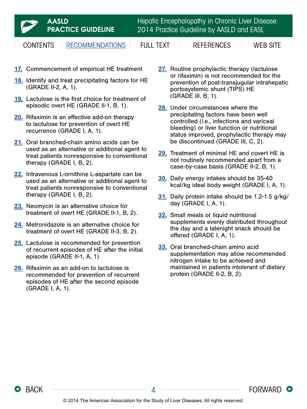AASLD PRACTICE GUIDELINE Hepatic Encephalopathy in Chronic Liver Disease: 2014 Practice Guideline by AASLD and EASL

<span id="page-3-0"></span>[CONTENTS](#page-1-0) [RECOMMENDATIONS](#page-2-0) [FULL TEXT](#page-39-0) [REFERENCES](#page-66-0) [WEB SITE](http://aasld.org/practiceguidelines/Pages/guidelinelisting.aspx)

- 17. [Commencement of empirical HE treatment](#page-22-0)
- **18.** Identify and treat precipitating factors for HE [\(GRADE II-2, A, 1\).](#page-23-0)
- 19. Lactulose is the first choice for treatment of [episodic overt HE \(GRADE II-1, B, 1\).](#page-24-0)
- 20. [Rifaximin is an effective add-on therapy](#page-25-0)  [to lactulose for prevention of overt HE](#page-25-0)  [recurrence \(GRADE I, A, 1\).](#page-25-0)
- 21. Oral branched-chain amino acids can be [used as an alternative or additional agent to](#page-26-0)  [treat patients nonresponsive to conventional](#page-26-0)  [therapy \(GRADE I, B, 2\).](#page-26-0)
- 22. [Intravenous L-ornithine L-aspartate can be](#page-27-0)  [used as an alternative or additional agent to](#page-27-0)  [treat patients nonresponsive to conventional](#page-27-0)  [therapy \(GRADE I, B, 2\).](#page-27-0)
- 23. Neomycin is an alternative choice for [treatment of overt HE \(GRADE II-1, B, 2\).](#page-28-0)
- 24. Metronidazole is an alternative choice for [treatment of overt HE \(GRADE II-3, B, 2\).](#page-29-0)
- 25. [Lactulose is recommended for prevention](#page-30-0)  [of recurrent episodes of HE after the initial](#page-30-0)  [episode \(GRADE II-1, A, 1\).](#page-30-0)
- 26. [Rifaximin as an add-on to lactulose is](#page-31-0)  [recommended for prevention of recurrent](#page-31-0)  [episodes of HE after the second episode](#page-31-0) [\(GRADE I, A, 1\).](#page-31-0)
- 27. Routine prophylactic therapy (lactulose [or rifaximin\) is not recommended for the](#page-32-0)  [prevention of post-transjugular intrahepatic](#page-32-0)  [portosystemic shunt \(TIPS\) HE](#page-32-0) [\(GRADE III, B, 1\).](#page-32-0)
- 28. [Under circumstances where the](#page-33-0)  [precipitating factors have been well](#page-33-0)  [controlled \(i.e., infections and variceal](#page-33-0)  [bleeding\) or liver function or nutritional](#page-33-0)  [status improved, prophylactic therapy may](#page-33-0)  [be discontinued \(GRADE III, C, 2\).](#page-33-0)
- 29. [Treatment of minimal HE and covert HE is](#page-34-0)  [not routinely recommended apart from a](#page-34-0)  [case-by-case basis \(GRADE II-2, B, 1\).](#page-34-0)
- 30. [Daily energy intakes should be 35-40](#page-35-0)  [kcal/kg ideal body weight \(GRADE I, A, 1\).](#page-35-0)
- 31. Daily protein intake should be 1.2-1.5 g/kg/ [day \(GRADE I, A, 1\).](#page-36-0)
- **32.** Small meals or liquid nutritional [supplements evenly distributed throughout](#page-37-0)  [the day and a latenight snack should be](#page-37-0)  [offered \(GRADE I, A, 1\).](#page-37-0)
- 33. [Oral branched-chain amino acid](#page-38-0)  [supplementation may allow recommended](#page-38-0)  [nitrogen intake to be achieved and](#page-38-0)  [maintained in patients intolerant of dietary](#page-38-0)  [protein \(GRADE II-2, B, 2\).](#page-38-0)

[BACK](#page-2-0) [FORWARD](#page-4-0)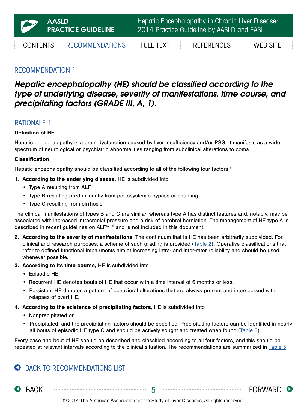Hepatic Encephalopathy in Chronic Liver Disease: 2014 Practice Guideline by AASLD and EASL

## <span id="page-4-0"></span>RECOMMENDATION 1

## *Hepatic encephalopathy (HE) should be classified according to the type of underlying disease, severity of manifestations, time course, and precipitating factors (GRADE III, A, 1).*

## RATIONALE 1

#### Definition of HE

Hepatic encephalopathy is a brain dysfunction caused by liver insufficiency and/or PSS; it manifests as a wide spectrum of neurological or psychiatric abnormalities ranging from subclinical alterations to coma.

#### Classification

Hepatic encephalopathy should be classified according to all of the following four factors.<sup>10</sup>

- 1. According to the underlying disease, HE is subdivided into
	- Type A resulting from ALF
	- Type B resulting predominantly from portosystemic bypass or shunting
	- Type C resulting from cirrhosis

The clinical manifestations of types B and C are similar, whereas type A has distinct features and, notably, may be associated with increased intracranial pressure and a risk of cerebral herniation. The management of HE type A is described in recent guidelines on ALF<sup>62,63</sup> and is not included in this document.

- 2. According to the severity of manifestations. The continuum that is HE has been arbitrarily subdivided. For clinical and research purposes, a scheme of such grading is provided [\(Table 2](#page-46-0)). Operative classifications that refer to defined functional impairments aim at increasing intra- and inter-rater reliability and should be used whenever possible.
- 3. According to its time course, HE is subdivided into
	- Episodic HE
	- Recurrent HE denotes bouts of HE that occur with a time interval of 6 months or less.
	- Persistent HE denotes a pattern of behavioral alterations that are always present and interspersed with relapses of overt HE.
- 4. According to the existence of precipitating factors, HE is subdivided into
	- Nonprecipitated or
	- Precipitated, and the precipitating factors should be specified. Precipitating factors can be identified in nearly all bouts of episodic HE type C and should be actively sought and treated when found [\(Table 3\)](#page-47-0).

Every case and bout of HE should be described and classified according to all four factors, and this should be repeated at relevant intervals according to the clinical situation. The recommendations are summarized in [Table 5](#page-48-0).

## **[BACK TO RECOMMENDATIONS LIST](#page-2-0)**

[BACK](#page-3-0) [FORWARD](#page-5-0)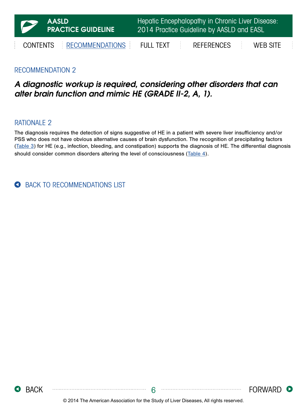<span id="page-5-0"></span>

## *A diagnostic workup is required, considering other disorders that can alter brain function and mimic HE (GRADE II-2, A, 1).*

## RATIONALE 2

The diagnosis requires the detection of signs suggestive of HE in a patient with severe liver insufficiency and/or PSS who does not have obvious alternative causes of brain dysfunction. The recognition of precipitating factors ([Table 3\)](#page-47-0) for HE (e.g., infection, bleeding, and constipation) supports the diagnosis of HE. The differential diagnosis should consider common disorders altering the level of consciousness ([Table 4\)](#page-47-0).



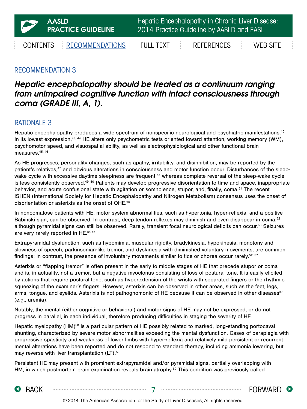Hepatic Encephalopathy in Chronic Liver Disease: 2014 Practice Guideline by AASLD and EASL

## <span id="page-6-0"></span>RECOMMENDATION 3

## *Hepatic encephalopathy should be treated as a continuum ranging from unimpaired cognitive function with intact consciousness through coma (GRADE III, A, 1).*

## RATIONALE 3

Hepatic encephalopathy produces a wide spectrum of nonspecific neurological and psychiatric manifestations.<sup>10</sup> In its lowest expression,<sup>43, 44</sup> HE alters only psychometric tests oriented toward attention, working memory (WM), psychomotor speed, and visuospatial ability, as well as electrophysiological and other functional brain measures.45, 46

As HE progresses, personality changes, such as apathy, irritability, and disinhibition, may be reported by the patient's relatives,<sup>47</sup> and obvious alterations in consciousness and motor function occur. Disturbances of the sleepwake cycle with excessive daytime sleepiness are frequent,<sup>48</sup> whereas complete reversal of the sleep-wake cycle is less consistently observed.49, 50 Patients may develop progressive disorientation to time and space, inappropriate behavior, and acute confusional state with agitation or somnolence, stupor, and, finally, coma.<sup>51</sup> The recent ISHEN (International Society for Hepatic Encephalopathy and Nitrogen Metabolism) consensus uses the onset of disorientation or asterixis as the onset of OHE.<sup>65</sup>

In noncomatose patients with HE, motor system abnormalities, such as hypertonia, hyper-reflexia, and a positive Babinski sign, can be observed. In contrast, deep tendon reflexes may diminish and even disappear in coma,<sup>52</sup> although pyramidal signs can still be observed. Rarely, transient focal neurological deficits can occur.53 Seizures are very rarely reported in HE.54-56

Extrapyramidal dysfunction, such as hypomimia, muscular rigidity, bradykinesia, hypokinesia, monotony and slowness of speech, parkinsonian-like tremor, and dyskinesia with diminished voluntary movements, are common findings; in contrast, the presence of involuntary movements similar to tics or chorea occur rarely.<sup>52, 57</sup>

Asterixis or "flapping tremor" is often present in the early to middle stages of HE that precede stupor or coma and is, in actuality, not a tremor, but a negative myoclonus consisting of loss of postural tone. It is easily elicited by actions that require postural tone, such as hyperextension of the wrists with separated fingers or the rhythmic squeezing of the examiner's fingers. However, asterixis can be observed in other areas, such as the feet, legs, arms, tongue, and eyelids. Asterixis is not pathognomonic of HE because it can be observed in other diseases<sup>57</sup> (e.g., uremia).

Notably, the mental (either cognitive or behavioral) and motor signs of HE may not be expressed, or do not progress in parallel, in each individual, therefore producing difficulties in staging the severity of HE.

Hepatic myelopathy (HM)<sup>58</sup> is a particular pattern of HE possibly related to marked, long-standing portocaval shunting, characterized by severe motor abnormalities exceeding the mental dysfunction. Cases of paraplegia with progressive spasticity and weakness of lower limbs with hyper-reflexia and relatively mild persistent or recurrent mental alterations have been reported and do not respond to standard therapy, including ammonia lowering, but may reverse with liver transplantation (LT).<sup>59</sup>

Persistent HE may present with prominent extrapyramidal and/or pyramidal signs, partially overlapping with HM, in which postmortem brain examination reveals brain atrophy.<sup>60</sup> This condition was previously called

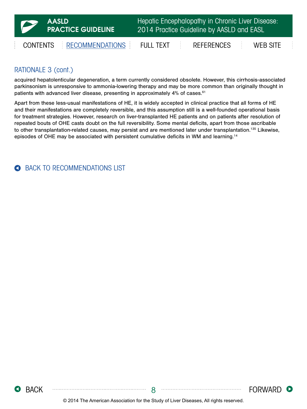Hepatic Encephalopathy in Chronic Liver Disease: 2014 Practice Guideline by AASLD and EASL

## <span id="page-7-0"></span>[CONTENTS](#page-1-0) [RECOMMENDATIONS](#page-2-0) [FULL TEXT](#page-39-0) [REFERENCES](#page-66-0) [WEB SITE](http://aasld.org/practiceguidelines/Pages/guidelinelisting.aspx)

#### RATIONALE 3 (cont.)

acquired hepatolenticular degeneration, a term currently considered obsolete. However, this cirrhosis-associated parkinsonism is unresponsive to ammonia-lowering therapy and may be more common than originally thought in patients with advanced liver disease, presenting in approximately 4% of cases.<sup>61</sup>

Apart from these less-usual manifestations of HE, it is widely accepted in clinical practice that all forms of HE and their manifestations are completely reversible, and this assumption still is a well-founded operational basis for treatment strategies. However, research on liver-transplanted HE patients and on patients after resolution of repeated bouts of OHE casts doubt on the full reversibility. Some mental deficits, apart from those ascribable to other transplantation-related causes, may persist and are mentioned later under transplantation.<sup>135</sup> Likewise, episodes of OHE may be associated with persistent cumulative deficits in WM and learning.<sup>14</sup>



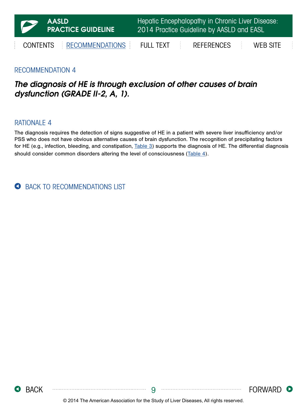<span id="page-8-0"></span>

## *The diagnosis of HE is through exclusion of other causes of brain dysfunction (GRADE II-2, A, 1).*

## RATIONALE 4

The diagnosis requires the detection of signs suggestive of HE in a patient with severe liver insufficiency and/or PSS who does not have obvious alternative causes of brain dysfunction. The recognition of precipitating factors for HE (e.g., infection, bleeding, and constipation, [Table 3\)](#page-47-0) supports the diagnosis of HE. The differential diagnosis should consider common disorders altering the level of consciousness ([Table 4\)](#page-47-0).

**[BACK TO RECOMMENDATIONS LIST](#page-2-0)** 

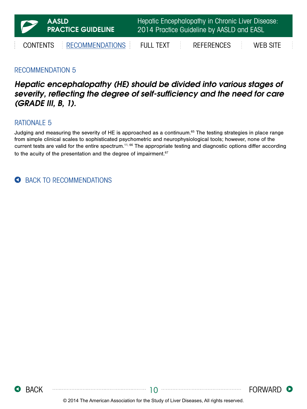<span id="page-9-0"></span>

*Hepatic encephalopathy (HE) should be divided into various stages of severity, reflecting the degree of self-sufficiency and the need for care (GRADE III, B, 1).*

## RATIONALE 5

Judging and measuring the severity of HE is approached as a continuum.<sup>65</sup> The testing strategies in place range from simple clinical scales to sophisticated psychometric and neurophysiological tools; however, none of the current tests are valid for the entire spectrum.<sup>11, 66</sup> The appropriate testing and diagnostic options differ according to the acuity of the presentation and the degree of impairment.<sup>67</sup>

**[BACK TO RECOMMENDATIONS](#page-2-0)** 

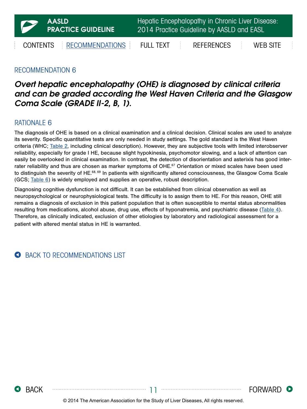## <span id="page-10-0"></span>*Overt hepatic encephalopathy (OHE) is diagnosed by clinical criteria and can be graded according the West Haven Criteria and the Glasgow Coma Scale (GRADE II-2, B, 1).*

## RATIONALE 6

The diagnosis of OHE is based on a clinical examination and a clinical decision. Clinical scales are used to analyze its severity. Specific quantitative tests are only needed in study settings. The gold standard is the West Haven criteria (WHC; [Table 2,](#page-46-0) including clinical description). However, they are subjective tools with limited interobserver reliability, especially for grade I HE, because slight hypokinesia, psychomotor slowing, and a lack of attention can easily be overlooked in clinical examination. In contrast, the detection of disorientation and asterixis has good interrater reliability and thus are chosen as marker symptoms of OHE.<sup>67</sup> Orientation or mixed scales have been used to distinguish the severity of HE.<sup>68, 69</sup> In patients with significantly altered consciousness, the Glasgow Coma Scale (GCS; [Table 6](#page-49-0)) is widely employed and supplies an operative, robust description.

Diagnosing cognitive dysfunction is not difficult. It can be established from clinical observation as well as neuropsychological or neurophysiological tests. The difficulty is to assign them to HE. For this reason, OHE still remains a diagnosis of exclusion in this patient population that is often susceptible to mental status abnormalities resulting from medications, alcohol abuse, drug use, effects of hyponatremia, and psychiatric disease ([Table 4\)](#page-47-0). Therefore, as clinically indicated, exclusion of other etiologies by laboratory and radiological assessment for a patient with altered mental status in HE is warranted.

**[BACK TO RECOMMENDATIONS LIST](#page-2-0)** 

[BACK](#page-9-0) [FORWARD](#page-11-0)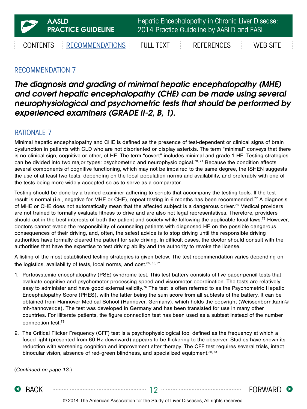<span id="page-11-0"></span>*The diagnosis and grading of minimal hepatic encephalopathy (MHE) and covert hepatic encephalopathy (CHE) can be made using several neurophysiological and psychometric tests that should be performed by experienced examiners (GRADE II-2, B, 1).*

## RATIONALE 7

Minimal hepatic encephalopathy and CHE is defined as the presence of test-dependent or clinical signs of brain dysfunction in patients with CLD who are not disoriented or display asterixis. The term "minimal" conveys that there is no clinical sign, cognitive or other, of HE. The term "covert" includes minimal and grade 1 HE. Testing strategies can be divided into two major types: psychometric and neurophysiological.<sup>70, 71</sup> Because the condition affects several components of cognitive functioning, which may not be impaired to the same degree, the ISHEN suggests the use of at least two tests, depending on the local population norms and availability, and preferably with one of the tests being more widely accepted so as to serve as a comparator.

Testing should be done by a trained examiner adhering to scripts that accompany the testing tools. If the test result is normal (i.e., negative for MHE or CHE), repeat testing in 6 months has been recommended.<sup>77</sup> A diagnosis of MHE or CHE does not automatically mean that the affected subject is a dangerous driver.<sup>78</sup> Medical providers are not trained to formally evaluate fitness to drive and are also not legal representatives. Therefore, providers should act in the best interests of both the patient and society while following the applicable local laws.<sup>78</sup> However, doctors cannot evade the responsibility of counseling patients with diagnosed HE on the possible dangerous consequences of their driving, and, often, the safest advice is to stop driving until the responsible driving authorities have formally cleared the patient for safe driving. In difficult cases, the doctor should consult with the authorities that have the expertise to test driving ability and the authority to revoke the license.

A listing of the most established testing strategies is given below. The test recommendation varies depending on the logistics, availability of tests, local norms, and cost.<sup>65, 66, 71</sup>

- 1. Portosystemic encephalopathy (PSE) syndrome test. This test battery consists of five paper-pencil tests that evaluate cognitive and psychomotor processing speed and visuomotor coordination. The tests are relatively easy to administer and have good external validity.<sup>76</sup> The test is often referred to as the Psychometric Hepatic Encephalopathy Score (PHES), with the latter being the sum score from all subtests of the battery. It can be obtained from Hannover Medical School (Hannover, Germany), which holds the copyright (Weissenborn.karin@ mh-hannover.de). The test was developed in Germany and has been translated for use in many other countries. For illiterate patients, the figure connection test has been used as a subtest instead of the number connection test.79
- 2. The Critical Flicker Frequency (CFF) test is a psychophysiological tool defined as the frequency at which a fused light (presented from 60 Hz downward) appears to be flickering to the observer. Studies have shown its reduction with worsening cognition and improvement after therapy. The CFF test requires several trials, intact binocular vision, absence of red-green blindness, and specialized equipment.<sup>80, 81</sup>

(*Continued on page 13.*)

[BACK](#page-10-0) <del>Example 20</del> T2 No. 2014 T2 No. 2014 TORWARD

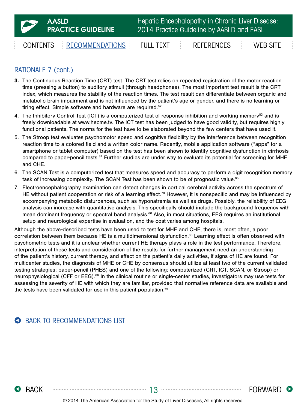Hepatic Encephalopathy in Chronic Liver Disease: 2014 Practice Guideline by AASLD and EASL

## <span id="page-12-0"></span>[CONTENTS](#page-1-0) [RECOMMENDATIONS](#page-2-0) [FULL TEXT](#page-39-0) [REFERENCES](#page-66-0) [WEB SITE](http://aasld.org/practiceguidelines/Pages/guidelinelisting.aspx)

#### RATIONALE 7 (cont.)

- 3. The Continuous Reaction Time (CRT) test. The CRT test relies on repeated registration of the motor reaction time (pressing a button) to auditory stimuli (through headphones). The most important test result is the CRT index, which measures the stability of the reaction times. The test result can differentiate between organic and metabolic brain impairment and is not influenced by the patient's age or gender, and there is no learning or tiring effect. Simple software and hardware are required.<sup>82</sup>
- 4. The Inhibitory Control Test (ICT) is a computerized test of response inhibition and working memory<sup>83</sup> and is freely downloadable at www.hecme.tv. The ICT test has been judged to have good validity, but requires highly functional patients. The norms for the test have to be elaborated beyond the few centers that have used it.
- 5. The Stroop test evaluates psychomotor speed and cognitive flexibility by the interference between recognition reaction time to a colored field and a written color name. Recently, mobile application software ("apps" for a smartphone or tablet computer) based on the test has been shown to identify cognitive dysfunction in cirrhosis compared to paper-pencil tests.<sup>84</sup> Further studies are under way to evaluate its potential for screening for MHE and CHE.
- 6. The SCAN Test is a computerized test that measures speed and accuracy to perform a digit recognition memory task of increasing complexity. The SCAN Test has been shown to be of prognostic value.<sup>85</sup>
- 7. Electroencephalography examination can detect changes in cortical cerebral activity across the spectrum of HE without patient cooperation or risk of a learning effect.<sup>70</sup> However, it is nonspecific and may be influenced by accompanying metabolic disturbances, such as hyponatremia as well as drugs. Possibly, the reliability of EEG analysis can increase with quantitative analysis. This specifically should include the background frequency with mean dominant frequency or spectral band analysis.<sup>60</sup> Also, in most situations, EEG requires an institutional setup and neurological expertise in evaluation, and the cost varies among hospitals.

Although the above-described tests have been used to test for MHE and CHE, there is, most often, a poor correlation between them because HE is a multidimensional dysfunction.<sup>86</sup> Learning effect is often observed with psychometric tests and it is unclear whether current HE therapy plays a role in the test performance. Therefore, interpretation of these tests and consideration of the results for further management need an understanding of the patient's history, current therapy, and effect on the patient's daily activities, if signs of HE are found. For multicenter studies, the diagnosis of MHE or CHE by consensus should utilize at least two of the current validated testing strategies: paper-pencil (PHES) and one of the following: computerized (CRT, ICT, SCAN, or Stroop) or neurophysiological (CFF or EEG).<sup>66</sup> In the clinical routine or single-center studies, investigators may use tests for assessing the severity of HE with which they are familiar, provided that normative reference data are available and the tests have been validated for use in this patient population.<sup>66</sup>

## **[BACK TO RECOMMENDATIONS LIST](#page-2-0)**

[BACK](#page-11-0) [FORWARD](#page-13-0)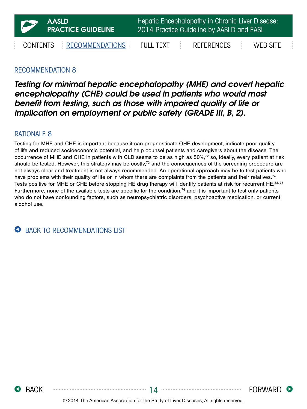<span id="page-13-0"></span>[CONTENTS](#page-1-0) [RECOMMENDATIONS](#page-2-0) [FULL TEXT](#page-39-0) [REFERENCES](#page-66-0) [WEB SITE](http://aasld.org/practiceguidelines/Pages/guidelinelisting.aspx)

## RECOMMENDATION 8

*Testing for minimal hepatic encephalopathy (MHE) and covert hepatic encephalopathy (CHE) could be used in patients who would most benefit from testing, such as those with impaired quality of life or implication on employment or public safety (GRADE III, B, 2).*

## RATIONALE 8

Testing for MHE and CHE is important because it can prognosticate OHE development, indicate poor quality of life and reduced socioeconomic potential, and help counsel patients and caregivers about the disease. The occurrence of MHE and CHE in patients with CLD seems to be as high as 50%,<sup>72</sup> so, ideally, every patient at risk should be tested. However, this strategy may be costly,<sup>73</sup> and the consequences of the screening procedure are not always clear and treatment is not always recommended. An operational approach may be to test patients who have problems with their quality of life or in whom there are complaints from the patients and their relatives.<sup>74</sup> Tests positive for MHE or CHE before stopping HE drug therapy will identify patients at risk for recurrent HE.33, 75 Furthermore, none of the available tests are specific for the condition,<sup>76</sup> and it is important to test only patients who do not have confounding factors, such as neuropsychiatric disorders, psychoactive medication, or current alcohol use.



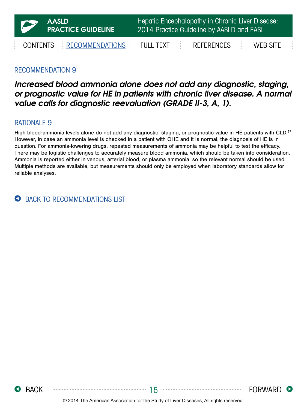## <span id="page-14-0"></span>*Increased blood ammonia alone does not add any diagnostic, staging, or prognostic value for HE in patients with chronic liver disease. A normal value calls for diagnostic reevaluation (GRADE II-3, A, 1).*

## RATIONALE 9

High blood-ammonia levels alone do not add any diagnostic, staging, or prognostic value in HE patients with CLD.<sup>87</sup> However, in case an ammonia level is checked in a patient with OHE and it is normal, the diagnosis of HE is in question. For ammonia-lowering drugs, repeated measurements of ammonia may be helpful to test the efficacy. There may be logistic challenges to accurately measure blood ammonia, which should be taken into consideration. Ammonia is reported either in venous, arterial blood, or plasma ammonia, so the relevant normal should be used. Multiple methods are available, but measurements should only be employed when laboratory standards allow for reliable analyses.

**[BACK TO RECOMMENDATIONS LIST](#page-2-0)** 

[BACK](#page-13-0) [FORWARD](#page-15-0)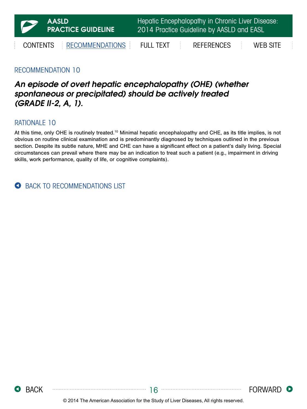<span id="page-15-0"></span>

## *An episode of overt hepatic encephalopathy (OHE) (whether spontaneous or precipitated) should be actively treated (GRADE II-2, A, 1).*

## RATIONALE 10

At this time, only OHE is routinely treated.<sup>10</sup> Minimal hepatic encephalopathy and CHE, as its title implies, is not obvious on routine clinical examination and is predominantly diagnosed by techniques outlined in the previous section. Despite its subtle nature, MHE and CHE can have a significant effect on a patient's daily living. Special circumstances can prevail where there may be an indication to treat such a patient (e.g., impairment in driving skills, work performance, quality of life, or cognitive complaints).

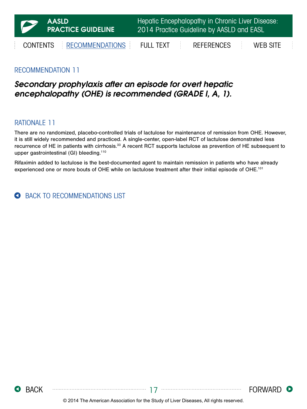<span id="page-16-0"></span>

## *Secondary prophylaxis after an episode for overt hepatic encephalopathy (OHE) is recommended (GRADE I, A, 1).*

## RATIONALE 11

There are no randomized, placebo-controlled trials of lactulose for maintenance of remission from OHE. However, it is still widely recommended and practiced. A single-center, open-label RCT of lactulose demonstrated less recurrence of HE in patients with cirrhosis.<sup>33</sup> A recent RCT supports lactulose as prevention of HE subsequent to upper gastrointestinal (GI) bleeding.<sup>110</sup>

Rifaximin added to lactulose is the best-documented agent to maintain remission in patients who have already experienced one or more bouts of OHE while on lactulose treatment after their initial episode of OHE.<sup>101</sup>

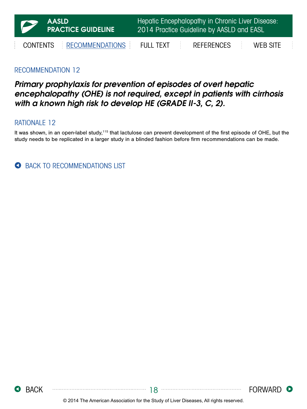<span id="page-17-0"></span>

## *Primary prophylaxis for prevention of episodes of overt hepatic encephalopathy (OHE) is not required, except in patients with cirrhosis with a known high risk to develop HE (GRADE II-3, C, 2).*

## RATIONALE 12

It was shown, in an open-label study,<sup>115</sup> that lactulose can prevent development of the first episode of OHE, but the study needs to be replicated in a larger study in a blinded fashion before firm recommendations can be made.

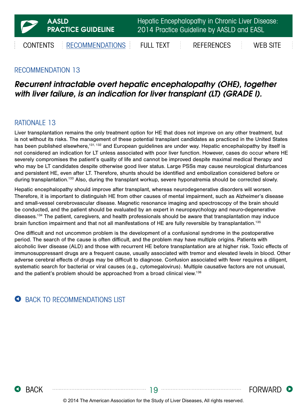<span id="page-18-0"></span>

## *Recurrent intractable overt hepatic encephalopathy (OHE), together with liver failure, is an indication for liver transplant (LT) (GRADE I).*

## RATIONALE 13

Liver transplantation remains the only treatment option for HE that does not improve on any other treatment, but is not without its risks. The management of these potential transplant candidates as practiced in the United States has been published elsewhere,<sup>131, 132</sup> and European guidelines are under way. Hepatic encephalopathy by itself is not considered an indication for LT unless associated with poor liver function. However, cases do occur where HE severely compromises the patient's quality of life and cannot be improved despite maximal medical therapy and who may be LT candidates despite otherwise good liver status. Large PSSs may cause neurological disturbances and persistent HE, even after LT. Therefore, shunts should be identified and embolization considered before or during transplantation.<sup>133</sup> Also, during the transplant workup, severe hyponatremia should be corrected slowly.

Hepatic encephalopathy should improve after transplant, whereas neurodegenerative disorders will worsen. Therefore, it is important to distinguish HE from other causes of mental impairment, such as Alzheimer's disease and small-vessel cerebrovascular disease. Magnetic resonance imaging and spectroscopy of the brain should be conducted, and the patient should be evaluated by an expert in neuropsychology and neuro-degenerative diseases.134 The patient, caregivers, and health professionals should be aware that transplantation may induce brain function impairment and that not all manifestations of HE are fully reversible by transplantation.<sup>135</sup>

One difficult and not uncommon problem is the development of a confusional syndrome in the postoperative period. The search of the cause is often difficult, and the problem may have multiple origins. Patients with alcoholic liver disease (ALD) and those with recurrent HE before transplantation are at higher risk. Toxic effects of immunosuppressant drugs are a frequent cause, usually associated with tremor and elevated levels in blood. Other adverse cerebral effects of drugs may be difficult to diagnose. Confusion associated with fever requires a diligent, systematic search for bacterial or viral causes (e.g., cytomegalovirus). Multiple causative factors are not unusual, and the patient's problem should be approached from a broad clinical view.<sup>136</sup>



[BACK](#page-17-0) [FORWARD](#page-19-0)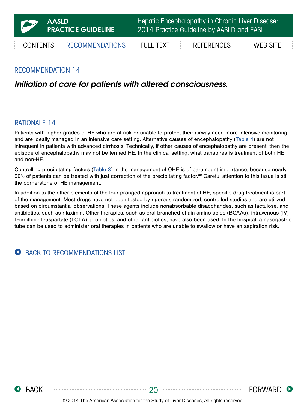<span id="page-19-0"></span>

## *Initiation of care for patients with altered consciousness.*

#### RATIONALE 14

Patients with higher grades of HE who are at risk or unable to protect their airway need more intensive monitoring and are ideally managed in an intensive care setting. Alternative causes of encephalopathy ([Table 4\)](#page-47-0) are not infrequent in patients with advanced cirrhosis. Technically, if other causes of encephalopathy are present, then the episode of encephalopathy may not be termed HE. In the clinical setting, what transpires is treatment of both HE and non-HE.

Controlling precipitating factors ([Table 3\)](#page-47-0) in the management of OHE is of paramount importance, because nearly 90% of patients can be treated with just correction of the precipitating factor.<sup>89</sup> Careful attention to this issue is still the cornerstone of HE management.

In addition to the other elements of the four-pronged approach to treatment of HE, specific drug treatment is part of the management. Most drugs have not been tested by rigorous randomized, controlled studies and are utilized based on circumstantial observations. These agents include nonabsorbable disaccharides, such as lactulose, and antibiotics, such as rifaximin. Other therapies, such as oral branched-chain amino acids (BCAAs), intravenous (IV) L-ornithine L-aspartate (LOLA), probiotics, and other antibiotics, have also been used. In the hospital, a nasogastric tube can be used to administer oral therapies in patients who are unable to swallow or have an aspiration risk.

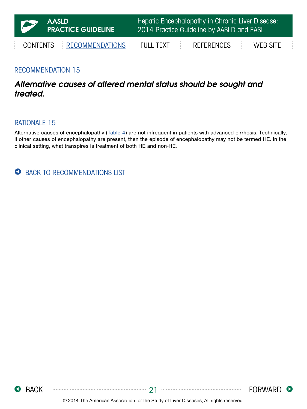<span id="page-20-0"></span>

## *Alternative causes of altered mental status should be sought and treated.*

## RATIONALE 15

Alternative causes of encephalopathy [\(Table 4](#page-47-0)) are not infrequent in patients with advanced cirrhosis. Technically, if other causes of encephalopathy are present, then the episode of encephalopathy may not be termed HE. In the clinical setting, what transpires is treatment of both HE and non-HE.



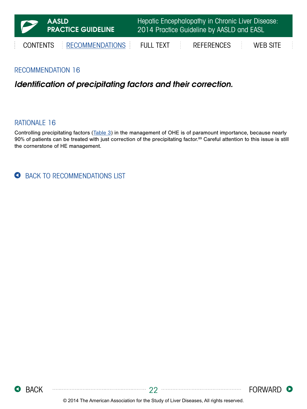<span id="page-21-0"></span>

*Identification of precipitating factors and their correction.*

#### RATIONALE 16

Controlling precipitating factors ([Table 3\)](#page-47-0) in the management of OHE is of paramount importance, because nearly 90% of patients can be treated with just correction of the precipitating factor.<sup>89</sup> Careful attention to this issue is still the cornerstone of HE management.

**[BACK TO RECOMMENDATIONS LIST](#page-2-0)** 

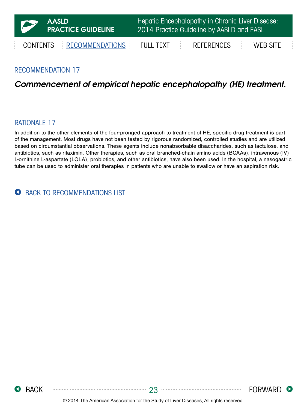<span id="page-22-0"></span>

## *Commencement of empirical hepatic encephalopathy (HE) treatment.*

#### RATIONALE 17

In addition to the other elements of the four-pronged approach to treatment of HE, specific drug treatment is part of the management. Most drugs have not been tested by rigorous randomized, controlled studies and are utilized based on circumstantial observations. These agents include nonabsorbable disaccharides, such as lactulose, and antibiotics, such as rifaximin. Other therapies, such as oral branched-chain amino acids (BCAAs), intravenous (IV) L-ornithine L-aspartate (LOLA), probiotics, and other antibiotics, have also been used. In the hospital, a nasogastric tube can be used to administer oral therapies in patients who are unable to swallow or have an aspiration risk.

**[BACK TO RECOMMENDATIONS LIST](#page-3-0)** 

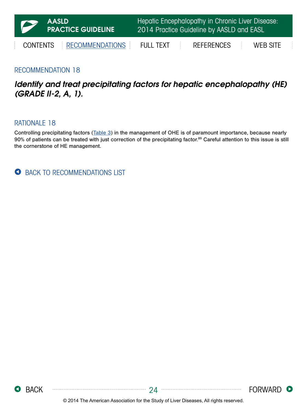<span id="page-23-0"></span>

## *Identify and treat precipitating factors for hepatic encephalopathy (HE) (GRADE II-2, A, 1).*

## RATIONALE 18

Controlling precipitating factors [\(Table 3](#page-47-0)) in the management of OHE is of paramount importance, because nearly 90% of patients can be treated with just correction of the precipitating factor.<sup>89</sup> Careful attention to this issue is still the cornerstone of HE management.



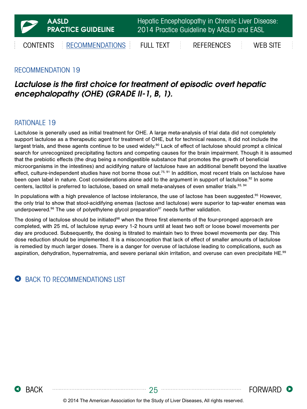<span id="page-24-0"></span>

## *Lactulose is the first choice for treatment of episodic overt hepatic encephalopathy (OHE) (GRADE II-1, B, 1).*

## RATIONALE 19

Lactulose is generally used as initial treatment for OHE. A large meta-analysis of trial data did not completely support lactulose as a therapeutic agent for treatment of OHE, but for technical reasons, it did not include the largest trials, and these agents continue to be used widely.<sup>90</sup> Lack of effect of lactulose should prompt a clinical search for unrecognized precipitating factors and competing causes for the brain impairment. Though it is assumed that the prebiotic effects (the drug being a nondigestible substance that promotes the growth of beneficial microorganisms in the intestines) and acidifying nature of lactulose have an additional benefit beyond the laxative effect, culture-independent studies have not borne those out.<sup>75, 91</sup> In addition, most recent trials on lactulose have been open label in nature. Cost considerations alone add to the argument in support of lactulose.<sup>92</sup> In some centers, lactitol is preferred to lactulose, based on small meta-analyses of even smaller trials.<sup>93, 94</sup>

In populations with a high prevalence of lactose intolerance, the use of lactose has been suggested.<sup>95</sup> However, the only trial to show that stool-acidifying enemas (lactose and lactulose) were superior to tap-water enemas was underpowered.<sup>96</sup> The use of polyethylene glycol preparation<sup>97</sup> needs further validation.

The dosing of lactulose should be initiated<sup>98</sup> when the three first elements of the four-pronged approach are completed, with 25 mL of lactulose syrup every 1-2 hours until at least two soft or loose bowel movements per day are produced. Subsequently, the dosing is titrated to maintain two to three bowel movements per day. This dose reduction should be implemented. It is a misconception that lack of effect of smaller amounts of lactulose is remedied by much larger doses. There is a danger for overuse of lactulose leading to complications, such as aspiration, dehydration, hypernatremia, and severe perianal skin irritation, and overuse can even precipitate HE.<sup>99</sup>

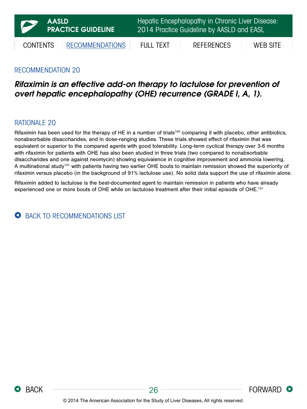<span id="page-25-0"></span>

## *Rifaximin is an effective add-on therapy to lactulose for prevention of overt hepatic encephalopathy (OHE) recurrence (GRADE I, A, 1).*

## RATIONALE 20

Rifaximin has been used for the therapy of HE in a number of trials<sup>100</sup> comparing it with placebo, other antibiotics, nonabsorbable disaccharides, and in dose-ranging studies. These trials showed effect of rifaximin that was equivalent or superior to the compared agents with good tolerability. Long-term cyclical therapy over 3-6 months with rifaximin for patients with OHE has also been studied in three trials (two compared to nonabsorbable disaccharides and one against neomycin) showing equivalence in cognitive improvement and ammonia lowering. A multinational study<sup>101</sup> with patients having two earlier OHE bouts to maintain remission showed the superiority of rifaximin versus placebo (in the background of 91% lactulose use). No solid data support the use of rifaximin alone.

Rifaximin added to lactulose is the best-documented agent to maintain remission in patients who have already experienced one or more bouts of OHE while on lactulose treatment after their initial episode of OHE.<sup>101</sup>

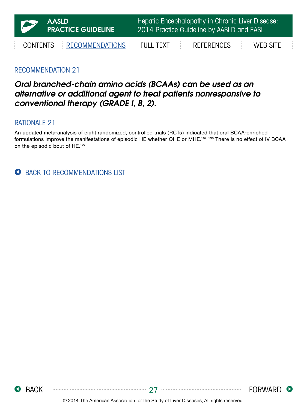<span id="page-26-0"></span>

*Oral branched-chain amino acids (BCAAs) can be used as an alternative or additional agent to treat patients nonresponsive to conventional therapy (GRADE I, B, 2).*

## RATIONALE 21

An updated meta-analysis of eight randomized, controlled trials (RCTs) indicated that oral BCAA-enriched formulations improve the manifestations of episodic HE whether OHE or MHE.<sup>102, 130</sup> There is no effect of IV BCAA on the episodic bout of HE.<sup>127</sup>

**[BACK TO RECOMMENDATIONS LIST](#page-3-0)** 

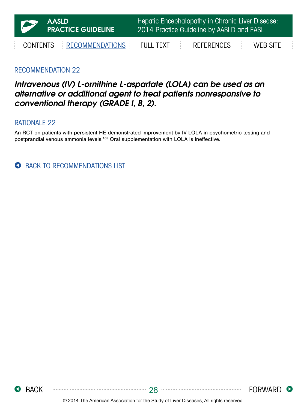<span id="page-27-0"></span>

*Intravenous (IV) L-ornithine L-aspartate (LOLA) can be used as an alternative or additional agent to treat patients nonresponsive to conventional therapy (GRADE I, B, 2).*

## RATIONALE 22

An RCT on patients with persistent HE demonstrated improvement by IV LOLA in psychometric testing and postprandial venous ammonia levels.105 Oral supplementation with LOLA is ineffective.



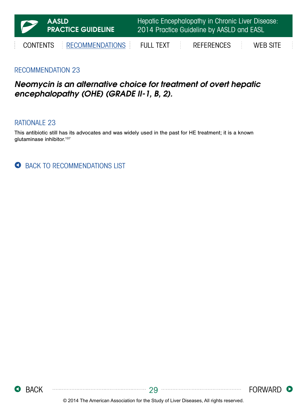<span id="page-28-0"></span>

## *Neomycin is an alternative choice for treatment of overt hepatic encephalopathy (OHE) (GRADE II-1, B, 2).*

## RATIONALE 23

This antibiotic still has its advocates and was widely used in the past for HE treatment; it is a known glutaminase inhibitor.107

**[BACK TO RECOMMENDATIONS LIST](#page-3-0)** 

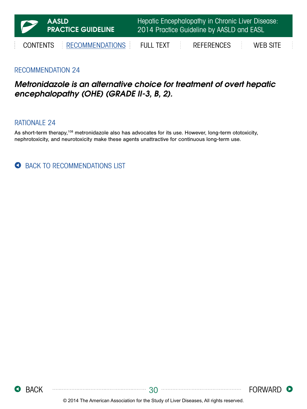<span id="page-29-0"></span>

## *Metronidazole is an alternative choice for treatment of overt hepatic encephalopathy (OHE) (GRADE II-3, B, 2).*

#### RATIONALE 24

As short-term therapy,<sup>108</sup> metronidazole also has advocates for its use. However, long-term ototoxicity, nephrotoxicity, and neurotoxicity make these agents unattractive for continuous long-term use.

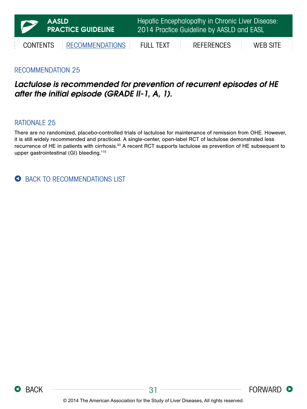<span id="page-30-0"></span>

## *Lactulose is recommended for prevention of recurrent episodes of HE after the initial episode (GRADE II-1, A, 1).*

## RATIONALE 25

There are no randomized, placebo-controlled trials of lactulose for maintenance of remission from OHE. However, it is still widely recommended and practiced. A single-center, open-label RCT of lactulose demonstrated less recurrence of HE in patients with cirrhosis.<sup>33</sup> A recent RCT supports lactulose as prevention of HE subsequent to upper gastrointestinal (GI) bleeding.<sup>110</sup>

**[BACK TO RECOMMENDATIONS LIST](#page-3-0)** 

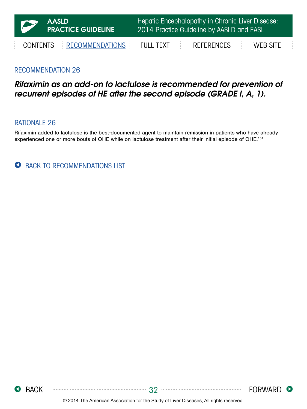<span id="page-31-0"></span>

## *Rifaximin as an add-on to lactulose is recommended for prevention of recurrent episodes of HE after the second episode (GRADE I, A, 1).*

## RATIONALE 26

Rifaximin added to lactulose is the best-documented agent to maintain remission in patients who have already experienced one or more bouts of OHE while on lactulose treatment after their initial episode of OHE.<sup>101</sup>

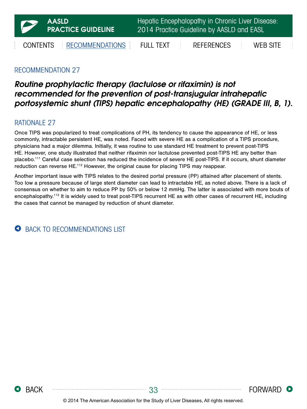## <span id="page-32-0"></span>*Routine prophylactic therapy (lactulose or rifaximin) is not recommended for the prevention of post-transjugular intrahepatic portosystemic shunt (TIPS) hepatic encephalopathy (HE) (GRADE III, B, 1).*

## RATIONALE 27

Once TIPS was popularized to treat complications of PH, its tendency to cause the appearance of HE, or less commonly, intractable persistent HE, was noted. Faced with severe HE as a complication of a TIPS procedure, physicians had a major dilemma. Initially, it was routine to use standard HE treatment to prevent post-TIPS HE. However, one study illustrated that neither rifaximin nor lactulose prevented post-TIPS HE any better than placebo.111 Careful case selection has reduced the incidence of severe HE post-TIPS. If it occurs, shunt diameter reduction can reverse HE.<sup>112</sup> However, the original cause for placing TIPS may reappear.

Another important issue with TIPS relates to the desired portal pressure (PP) attained after placement of stents. Too low a pressure because of large stent diameter can lead to intractable HE, as noted above. There is a lack of consensus on whether to aim to reduce PP by 50% or below 12 mmHg. The latter is associated with more bouts of encephalopathy.113 It is widely used to treat post-TIPS recurrent HE as with other cases of recurrent HE, including the cases that cannot be managed by reduction of shunt diameter.

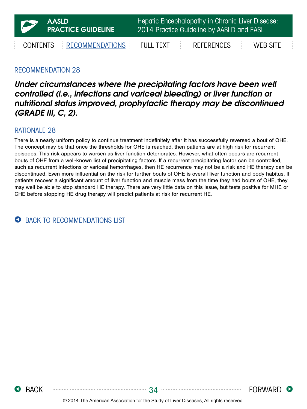<span id="page-33-0"></span>*Under circumstances where the precipitating factors have been well controlled (i.e., infections and variceal bleeding) or liver function or nutritional status improved, prophylactic therapy may be discontinued (GRADE III, C, 2).*

## RATIONALE 28

There is a nearly uniform policy to continue treatment indefinitely after it has successfully reversed a bout of OHE. The concept may be that once the thresholds for OHE is reached, then patients are at high risk for recurrent episodes. This risk appears to worsen as liver function deteriorates. However, what often occurs are recurrent bouts of OHE from a well-known list of precipitating factors. If a recurrent precipitating factor can be controlled, such as recurrent infections or variceal hemorrhages, then HE recurrence may not be a risk and HE therapy can be discontinued. Even more influential on the risk for further bouts of OHE is overall liver function and body habitus. If patients recover a significant amount of liver function and muscle mass from the time they had bouts of OHE, they may well be able to stop standard HE therapy. There are very little data on this issue, but tests positive for MHE or CHE before stopping HE drug therapy will predict patients at risk for recurrent HE.

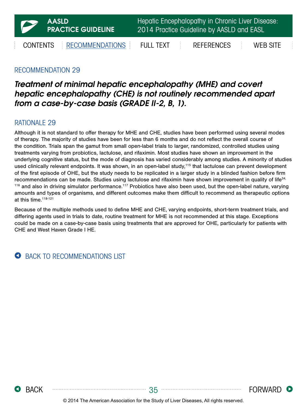## <span id="page-34-0"></span>*Treatment of minimal hepatic encephalopathy (MHE) and covert hepatic encephalopathy (CHE) is not routinely recommended apart from a case-by-case basis (GRADE II-2, B, 1).*

## RATIONALE 29

Although it is not standard to offer therapy for MHE and CHE, studies have been performed using several modes of therapy. The majority of studies have been for less than 6 months and do not reflect the overall course of the condition. Trials span the gamut from small open-label trials to larger, randomized, controlled studies using treatments varying from probiotics, lactulose, and rifaximin. Most studies have shown an improvement in the underlying cognitive status, but the mode of diagnosis has varied considerably among studies. A minority of studies used clinically relevant endpoints. It was shown, in an open-label study,<sup>115</sup> that lactulose can prevent development of the first episode of OHE, but the study needs to be replicated in a larger study in a blinded fashion before firm recommendations can be made. Studies using lactulose and rifaximin have shown improvement in quality of life<sup>34,</sup> <sup>116</sup> and also in driving simulator performance.<sup>117</sup> Probiotics have also been used, but the open-label nature, varying amounts and types of organisms, and different outcomes make them difficult to recommend as therapeutic options at this time.118-121

Because of the multiple methods used to define MHE and CHE, varying endpoints, short-term treatment trials, and differing agents used in trials to date, routine treatment for MHE is not recommended at this stage. Exceptions could be made on a case-by-case basis using treatments that are approved for OHE, particularly for patients with CHE and West Haven Grade I HE.

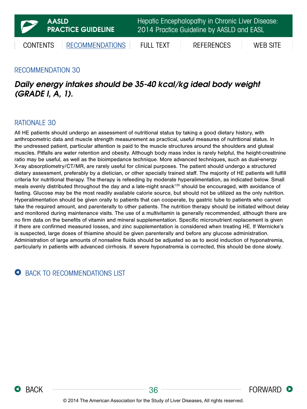<span id="page-35-0"></span>

## *Daily energy intakes should be 35-40 kcal/kg ideal body weight (GRADE I, A, 1).*

## RATIONALE 30

All HE patients should undergo an assessment of nutritional status by taking a good dietary history, with anthropometric data and muscle strength measurement as practical, useful measures of nutritional status. In the undressed patient, particular attention is paid to the muscle structures around the shoulders and gluteal muscles. Pitfalls are water retention and obesity. Although body mass index is rarely helpful, the height-creatinine ratio may be useful, as well as the bioimpedance technique. More advanced techniques, such as dual-energy X-ray absorptiometry/CT/MR, are rarely useful for clinical purposes. The patient should undergo a structured dietary assessment, preferably by a dietician, or other specially trained staff. The majority of HE patients will fulfill criteria for nutritional therapy. The therapy is refeeding by moderate hyperalimentation, as indicated below. Small meals evenly distributed throughout the day and a late-night snack<sup>125</sup> should be encouraged, with avoidance of fasting. Glucose may be the most readily available calorie source, but should not be utilized as the only nutrition. Hyperalimentation should be given orally to patients that can cooperate, by gastric tube to patients who cannot take the required amount, and parenterally to other patients. The nutrition therapy should be initiated without delay and monitored during maintenance visits. The use of a multivitamin is generally recommended, although there are no firm data on the benefits of vitamin and mineral supplementation. Specific micronutrient replacement is given if there are confirmed measured losses, and zinc supplementation is considered when treating HE. If Wernicke's is suspected, large doses of thiamine should be given parenterally and before any glucose administration. Administration of large amounts of nonsaline fluids should be adjusted so as to avoid induction of hyponatremia, particularly in patients with advanced cirrhosis. If severe hyponatremia is corrected, this should be done slowly.

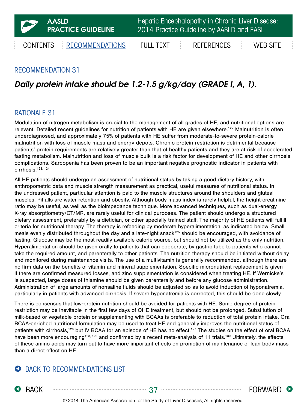<span id="page-36-0"></span>

# RECOMMENDATION 31

# *Daily protein intake should be 1.2-1.5 g/kg/day (GRADE I, A, 1).*

# RATIONALE 31

Modulation of nitrogen metabolism is crucial to the management of all grades of HE, and nutritional options are relevant. Detailed recent guidelines for nutrition of patients with HE are given elsewhere.<sup>122</sup> Malnutrition is often underdiagnosed, and approximately 75% of patients with HE suffer from moderate-to-severe protein-calorie malnutrition with loss of muscle mass and energy depots. Chronic protein restriction is detrimental because patients' protein requirements are relatively greater than that of healthy patients and they are at risk of accelerated fasting metabolism. Malnutrition and loss of muscle bulk is a risk factor for development of HE and other cirrhosis complications. Sarcopenia has been proven to be an important negative prognostic indicator in patients with cirrhosis.123, 124

All HE patients should undergo an assessment of nutritional status by taking a good dietary history, with anthropometric data and muscle strength measurement as practical, useful measures of nutritional status. In the undressed patient, particular attention is paid to the muscle structures around the shoulders and gluteal muscles. Pitfalls are water retention and obesity. Although body mass index is rarely helpful, the height-creatinine ratio may be useful, as well as the bioimpedance technique. More advanced techniques, such as dual-energy X-ray absorptiometry/CT/MR, are rarely useful for clinical purposes. The patient should undergo a structured dietary assessment, preferably by a dietician, or other specially trained staff. The majority of HE patients will fulfill criteria for nutritional therapy. The therapy is refeeding by moderate hyperalimentation, as indicated below. Small meals evenly distributed throughout the day and a late-night snack<sup>125</sup> should be encouraged, with avoidance of fasting. Glucose may be the most readily available calorie source, but should not be utilized as the only nutrition. Hyperalimentation should be given orally to patients that can cooperate, by gastric tube to patients who cannot take the required amount, and parenterally to other patients. The nutrition therapy should be initiated without delay and monitored during maintenance visits. The use of a multivitamin is generally recommended, although there are no firm data on the benefits of vitamin and mineral supplementation. Specific micronutrient replacement is given if there are confirmed measured losses, and zinc supplementation is considered when treating HE. If Wernicke's is suspected, large doses of thiamine should be given parenterally and before any glucose administration. Administration of large amounts of nonsaline fluids should be adjusted so as to avoid induction of hyponatremia, particularly in patients with advanced cirrhosis. If severe hyponatremia is corrected, this should be done slowly.

There is consensus that low-protein nutrition should be avoided for patients with HE. Some degree of protein restriction may be inevitable in the first few days of OHE treatment, but should not be prolonged. Substitution of milk-based or vegetable protein or supplementing with BCAAs is preferable to reduction of total protein intake. Oral BCAA-enriched nutritional formulation may be used to treat HE and generally improves the nutritional status of patients with cirrhosis,<sup>126</sup> but IV BCAA for an episode of HE has no effect.<sup>127</sup> The studies on the effect of oral BCAA have been more encouraging<sup>128, 129</sup> and confirmed by a recent meta-analysis of 11 trials.<sup>130</sup> Ultimately, the effects of these amino acids may turn out to have more important effects on promotion of maintenance of lean body mass than a direct effect on HE.

# **[BACK TO RECOMMENDATIONS LIST](#page-3-0)**

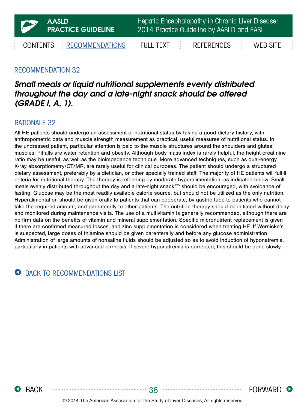# <span id="page-37-0"></span>RECOMMENDATION 32

# *Small meals or liquid nutritional supplements evenly distributed throughout the day and a late-night snack should be offered (GRADE I, A, 1).*

# RATIONALE 32

All HE patients should undergo an assessment of nutritional status by taking a good dietary history, with anthropometric data and muscle strength measurement as practical, useful measures of nutritional status. In the undressed patient, particular attention is paid to the muscle structures around the shoulders and gluteal muscles. Pitfalls are water retention and obesity. Although body mass index is rarely helpful, the height-creatinine ratio may be useful, as well as the bioimpedance technique. More advanced techniques, such as dual-energy X-ray absorptiometry/CT/MR, are rarely useful for clinical purposes. The patient should undergo a structured dietary assessment, preferably by a dietician, or other specially trained staff. The majority of HE patients will fulfill criteria for nutritional therapy. The therapy is refeeding by moderate hyperalimentation, as indicated below. Small meals evenly distributed throughout the day and a late-night snack<sup>125</sup> should be encouraged, with avoidance of fasting. Glucose may be the most readily available calorie source, but should not be utilized as the only nutrition. Hyperalimentation should be given orally to patients that can cooperate, by gastric tube to patients who cannot take the required amount, and parenterally to other patients. The nutrition therapy should be initiated without delay and monitored during maintenance visits. The use of a multivitamin is generally recommended, although there are no firm data on the benefits of vitamin and mineral supplementation. Specific micronutrient replacement is given if there are confirmed measured losses, and zinc supplementation is considered when treating HE. If Wernicke's is suspected, large doses of thiamine should be given parenterally and before any glucose administration. Administration of large amounts of nonsaline fluids should be adjusted so as to avoid induction of hyponatremia, particularly in patients with advanced cirrhosis. If severe hyponatremia is corrected, this should be done slowly.

# **[BACK TO RECOMMENDATIONS LIST](#page-3-0)**

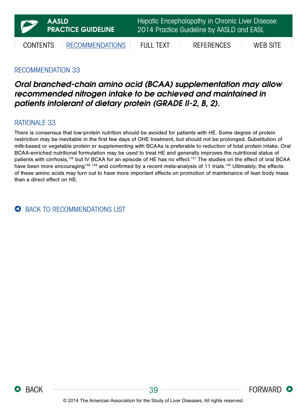# <span id="page-38-0"></span>RECOMMENDATION 33

# *Oral branched-chain amino acid (BCAA) supplementation may allow recommended nitrogen intake to be achieved and maintained in patients intolerant of dietary protein (GRADE II-2, B, 2).*

# RATIONALE 33

There is consensus that low-protein nutrition should be avoided for patients with HE. Some degree of protein restriction may be inevitable in the first few days of OHE treatment, but should not be prolonged. Substitution of milk-based or vegetable protein or supplementing with BCAAs is preferable to reduction of total protein intake. Oral BCAA-enriched nutritional formulation may be used to treat HE and generally improves the nutritional status of patients with cirrhosis,<sup>126</sup> but IV BCAA for an episode of HE has no effect.<sup>127</sup> The studies on the effect of oral BCAA have been more encouraging<sup>128, 129</sup> and confirmed by a recent meta-analysis of 11 trials.<sup>130</sup> Ultimately, the effects of these amino acids may turn out to have more important effects on promotion of maintenance of lean body mass than a direct effect on HE.

**[BACK TO RECOMMENDATIONS LIST](#page-3-0)** 

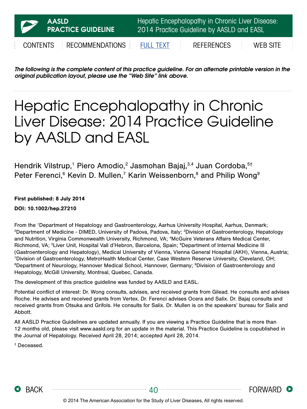<span id="page-39-0"></span>[CONTENTS](#page-1-0) [RECOMMENDATIONS](#page-2-0) FULL TEXT [REFERENCES](#page-66-0) [WEB SITE](http://aasld.org/practiceguidelines/Pages/guidelinelisting.aspx)

*The following is the complete content of this practice guideline. For an alternate printable version in the original publication layout, please use the "Web Site" link above.*

# Hepatic Encephalopathy in Chronic Liver Disease: 2014 Practice Guideline by AASLD and EASL

Hendrik Vilstrup,<sup>1</sup> Piero Amodio,<sup>2</sup> Jasmohan Bajaj,<sup>3,4</sup> Juan Cordoba,<sup>5†</sup> Peter Ferenci,<sup>6</sup> Kevin D. Mullen,<sup>7</sup> Karin Weissenborn,<sup>8</sup> and Philip Wong<sup>9</sup>

First published: 8 July 2014

DOI: 10.1002/hep.27210

From the 1 Department of Hepatology and Gastroenterology, Aarhus University Hospital, Aarhus, Denmark; 2 Department of Medicine - DIMED, University of Padova, Padova, Italy; 3 Division of Gastroenterology, Hepatology and Nutrition, Virginia Commonwealth University, Richmond, VA; 4 McGuire Veterans Affairs Medical Center, Richmond, VA; <sup>5</sup>Liver Unit, Hospital Vall d'Hebron, Barcelona, Spain; <sup>6</sup>Department of Internal Medicine III (Gastroenterology and Hepatology), Medical University of Vienna, Vienna General Hospital (AKH), Vienna, Austria; 7 Division of Gastroenterology, MetroHealth Medical Center, Case Western Reserve University, Cleveland, OH; <sup>8</sup>Department of Neurology, Hannover Medical School, Hannover, Germany; <sup>9</sup>Division of Gastroenterology and Hepatology, McGill University, Montreal, Quebec, Canada.

The development of this practice guideline was funded by AASLD and EASL.

Potential conflict of interest: Dr. Wong consults, advises, and received grants from Gilead. He consults and advises Roche. He advises and received grants from Vertex. Dr. Ferenci advises Ocera and Salix. Dr. Bajaj consults and received grants from Otsuka and Grifols. He consults for Salix. Dr. Mullen is on the speakers' bureau for Salix and Abbott.

All AASLD Practice Guidelines are updated annually. If you are viewing a Practice Guideline that is more than 12 months old, please visit www.aasld.org for an update in the material. This Practice Guideline is copublished in the Journal of Hepatology. Received April 28, 2014; accepted April 28, 2014.

† Deceased.

40

[BACK](#page-38-0) [FORWARD](#page-40-0)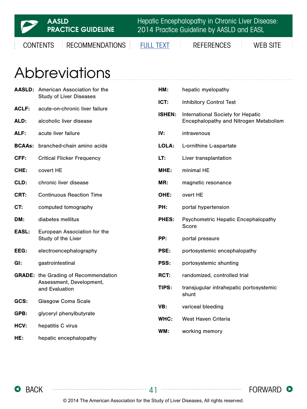Hepatic Encephalopathy in Chronic Liver Disease: 2014 Practice Guideline by AASLD and EASL

<span id="page-40-0"></span>[CONTENTS](#page-1-0) [RECOMMENDATIONS](#page-2-0) [FULL TEXT](#page-39-0) [REFERENCES](#page-66-0) [WEB SITE](http://aasld.org/practiceguidelines/Pages/guidelinelisting.aspx)

**FULL TEXT** 

# Abbreviations

| <b>AASLD:</b> | American Association for the<br><b>Study of Liver Diseases</b>                            |  |  |  |
|---------------|-------------------------------------------------------------------------------------------|--|--|--|
| <b>ACLF:</b>  | acute-on-chronic liver failure                                                            |  |  |  |
| ALD:          | alcoholic liver disease                                                                   |  |  |  |
| <b>ALF:</b>   | acute liver failure                                                                       |  |  |  |
| <b>BCAAs:</b> | branched-chain amino acids                                                                |  |  |  |
| CFF:          | <b>Critical Flicker Frequency</b>                                                         |  |  |  |
| CHE:          | covert HE                                                                                 |  |  |  |
| CLD:          | chronic liver disease                                                                     |  |  |  |
| CRT:          | <b>Continuous Reaction Time</b>                                                           |  |  |  |
| CT:           | computed tomography                                                                       |  |  |  |
| DM:           | diabetes mellitus                                                                         |  |  |  |
| <b>EASL:</b>  | European Association for the<br><b>Study of the Liver</b>                                 |  |  |  |
| EEG:          | electroencephalography                                                                    |  |  |  |
| GI:           | gastrointestinal                                                                          |  |  |  |
|               | <b>GRADE:</b> the Grading of Recommendation<br>Assessment, Development,<br>and Evaluation |  |  |  |
| GCS:          | Glasgow Coma Scale                                                                        |  |  |  |
| GPB:          | glyceryl phenylbutyrate                                                                   |  |  |  |
| HCV:          | hepatitis C virus                                                                         |  |  |  |
| HE:           | hepatic encephalopathy                                                                    |  |  |  |

| HM:           | hepatic myelopathy                                                                        |  |  |  |  |
|---------------|-------------------------------------------------------------------------------------------|--|--|--|--|
| ICT:          | <b>Inhibitory Control Test</b>                                                            |  |  |  |  |
| <b>ISHEN:</b> | <b>International Society for Hepatic</b><br><b>Encephalopathy and Nitrogen Metabolism</b> |  |  |  |  |
| IV:           | intravenous                                                                               |  |  |  |  |
| LOLA:         | L-ornithine L-aspartate                                                                   |  |  |  |  |
| LT:           | Liver transplantation                                                                     |  |  |  |  |
| MHE:          | minimal HE                                                                                |  |  |  |  |
| MR:           | magnetic resonance                                                                        |  |  |  |  |
| <b>OHE:</b>   | overt HE                                                                                  |  |  |  |  |
| PH:           | portal hypertension                                                                       |  |  |  |  |
| <b>PHES:</b>  | <b>Psychometric Hepatic Encephalopathy</b><br>Score                                       |  |  |  |  |
| PP:           | portal pressure                                                                           |  |  |  |  |
| <b>PSE:</b>   | portosystemic encephalopathy                                                              |  |  |  |  |
| <b>PSS:</b>   | portosystemic shunting                                                                    |  |  |  |  |
| RCT:          | randomized, controlled trial                                                              |  |  |  |  |
| <b>TIPS:</b>  | transjugular intrahepatic portosystemic<br>shunt                                          |  |  |  |  |
| VB:           | variceal bleeding                                                                         |  |  |  |  |
| WHC:          | <b>West Haven Criteria</b>                                                                |  |  |  |  |
| WM:           | working memory                                                                            |  |  |  |  |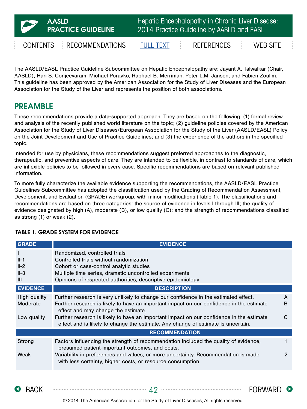Hepatic Encephalopathy in Chronic Liver Disease: 2014 Practice Guideline by AASLD and EASL

<span id="page-41-0"></span>[CONTENTS](#page-1-0) [RECOMMENDATIONS](#page-2-0) [FULL TEXT](#page-39-0) [REFERENCES](#page-66-0) [WEB SITE](http://aasld.org/practiceguidelines/Pages/guidelinelisting.aspx)

The AASLD/EASL Practice Guideline Subcommittee on Hepatic Encephalopathy are: Jayant A. Talwalkar (Chair, AASLD), Hari S. Conjeevaram, Michael Porayko, Raphael B. Merriman, Peter L.M. Jansen, and Fabien Zoulim. This guideline has been approved by the American Association for the Study of Liver Diseases and the European Association for the Study of the Liver and represents the position of both associations.

# PREAMBLE

These recommendations provide a data-supported approach. They are based on the following: (1) formal review and analysis of the recently published world literature on the topic; (2) guideline policies covered by the American Association for the Study of Liver Diseases/European Association for the Study of the Liver (AASLD/EASL) Policy on the Joint Development and Use of Practice Guidelines; and (3) the experience of the authors in the specified topic.

Intended for use by physicians, these recommendations suggest preferred approaches to the diagnostic, therapeutic, and preventive aspects of care. They are intended to be flexible, in contrast to standards of care, which are inflexible policies to be followed in every case. Specific recommendations are based on relevant published information.

To more fully characterize the available evidence supporting the recommendations, the AASLD/EASL Practice Guidelines Subcommittee has adopted the classification used by the Grading of Recommendation Assessment, Development, and Evaluation (GRADE) workgroup, with minor modifications (Table 1). The classifications and recommendations are based on three categories: the source of evidence in levels I through III; the quality of evidence designated by high (A), moderate (B), or low quality (C); and the strength of recommendations classified as strong (1) or weak (2).

| <b>GRADE</b>                      | <b>EVIDENCE</b>                                                                                                                                                                                                                               |              |
|-----------------------------------|-----------------------------------------------------------------------------------------------------------------------------------------------------------------------------------------------------------------------------------------------|--------------|
| $II-1$<br>$II-2$<br>$II-3$<br>III | Randomized, controlled trials<br>Controlled trials without randomization<br>Cohort or case-control analytic studies<br>Multiple time series, dramatic uncontrolled experiments<br>Opinions of respected authorities, descriptive epidemiology |              |
| <b>EVIDENCE</b>                   | <b>DESCRIPTION</b>                                                                                                                                                                                                                            |              |
| High quality<br>Moderate          | Further research is very unlikely to change our confidence in the estimated effect.<br>Further research is likely to have an important impact on our confidence in the estimate<br>effect and may change the estimate.                        | A<br>B       |
| Low quality                       | Further research is likely to have an important impact on our confidence in the estimate<br>effect and is likely to change the estimate. Any change of estimate is uncertain.                                                                 | $\mathsf{C}$ |
|                                   | <b>RECOMMENDATION</b>                                                                                                                                                                                                                         |              |
| Strong                            | Factors influencing the strength of recommendation included the quality of evidence,<br>presumed patient-important outcomes, and costs.                                                                                                       |              |
| Weak                              | Variability in preferences and values, or more uncertainty. Recommendation is made<br>with less certainty, higher costs, or resource consumption.                                                                                             | 2            |

# TABLE 1. GRADE SYSTEM FOR EVIDENCE



© 2014 The American Association for the Study of Liver Diseases, All rights reserved.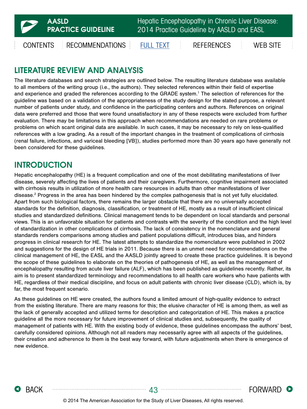Hepatic Encephalopathy in Chronic Liver Disease: 2014 Practice Guideline by AASLD and EASL

<span id="page-42-0"></span>[CONTENTS](#page-1-0) [RECOMMENDATIONS](#page-2-0) [FULL TEXT](#page-39-0) [REFERENCES](#page-66-0) [WEB SITE](http://aasld.org/practiceguidelines/Pages/guidelinelisting.aspx)

**FULL TEXT** 

# LITERATURE REVIEW AND ANALYSIS

The literature databases and search strategies are outlined below. The resulting literature database was available to all members of the writing group (i.e., the authors). They selected references within their field of expertise and experience and graded the references according to the GRADE system.<sup>1</sup> The selection of references for the guideline was based on a validation of the appropriateness of the study design for the stated purpose, a relevant number of patients under study, and confidence in the participating centers and authors. References on original data were preferred and those that were found unsatisfactory in any of these respects were excluded from further evaluation. There may be limitations in this approach when recommendations are needed on rare problems or problems on which scant original data are available. In such cases, it may be necessary to rely on less-qualified references with a low grading. As a result of the important changes in the treatment of complications of cirrhosis (renal failure, infections, and variceal bleeding [VB]), studies performed more than 30 years ago have generally not been considered for these guidelines.

# INTRODUCTION

Hepatic encephalopathy (HE) is a frequent complication and one of the most debilitating manifestations of liver disease, severely affecting the lives of patients and their caregivers. Furthermore, cognitive impairment associated with cirrhosis results in utilization of more health care resources in adults than other manifestations of liver disease.<sup>2</sup> Progress in the area has been hindered by the complex pathogenesis that is not yet fully elucidated. Apart from such biological factors, there remains the larger obstacle that there are no universally accepted standards for the definition, diagnosis, classification, or treatment of HE, mostly as a result of insufficient clinical studies and standardized definitions. Clinical management tends to be dependent on local standards and personal views. This is an unfavorable situation for patients and contrasts with the severity of the condition and the high level of standardization in other complications of cirrhosis. The lack of consistency in the nomenclature and general standards renders comparisons among studies and patient populations difficult, introduces bias, and hinders progress in clinical research for HE. The latest attempts to standardize the nomenclature were published in 2002 and suggestions for the design of HE trials in 2011. Because there is an unmet need for recommendations on the clinical management of HE, the EASL and the AASLD jointly agreed to create these practice guidelines. It is beyond the scope of these guidelines to elaborate on the theories of pathogenesis of HE, as well as the management of encephalopathy resulting from acute liver failure (ALF), which has been published as guidelines recently. Rather, its aim is to present standardized terminology and recommendations to all health care workers who have patients with HE, regardless of their medical discipline, and focus on adult patients with chronic liver disease (CLD), which is, by far, the most frequent scenario.

As these guidelines on HE were created, the authors found a limited amount of high-quality evidence to extract from the existing literature. There are many reasons for this; the elusive character of HE is among them, as well as the lack of generally accepted and utilized terms for description and categorization of HE. This makes a practice guideline all the more necessary for future improvement of clinical studies and, subsequently, the quality of management of patients with HE. With the existing body of evidence, these guidelines encompass the authors' best, carefully considered opinions. Although not all readers may necessarily agree with all aspects of the guidelines, their creation and adherence to them is the best way forward, with future adjustments when there is emergence of new evidence.

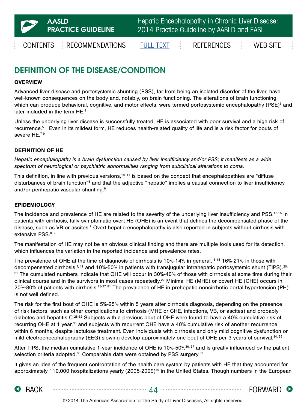<span id="page-43-0"></span>[CONTENTS](#page-1-0) [RECOMMENDATIONS](#page-2-0) [FULL TEXT](#page-39-0) [REFERENCES](#page-66-0) [WEB SITE](http://aasld.org/practiceguidelines/Pages/guidelinelisting.aspx) **FULL TEXT** 

# DEFINITION OF THE DISEASE/CONDITION

# **OVERVIEW**

Advanced liver disease and portosystemic shunting (PSS), far from being an isolated disorder of the liver, have well-known consequences on the body and, notably, on brain functioning. The alterations of brain functioning, which can produce behavioral, cognitive, and motor effects, were termed portosystemic encephalopathy (PSE)<sup>3</sup> and later included in the term HE.<sup>4</sup>

Unless the underlying liver disease is successfully treated, HE is associated with poor survival and a high risk of recurrence.<sup>5, 6</sup> Even in its mildest form. HE reduces health-related quality of life and is a risk factor for bouts of severe HE.<sup>7-9</sup>

## DEFINITION OF HE

*Hepatic encephalopathy is a brain dysfunction caused by liver insufficiency and/or PSS; it manifests as a wide spectrum of neurological or psychiatric abnormalities ranging from subclinical alterations to coma.*

This definition, in line with previous versions,<sup>10, 11</sup> is based on the concept that encephalopathies are "diffuse disturbances of brain function"<sup>5</sup> and that the adjective "hepatic" implies a causal connection to liver insufficiency and/or perihepatic vascular shunting.<sup>6</sup>

## EPIDEMIOLOGY

The incidence and prevalence of HE are related to the severity of the underlying liver insufficiency and PSS.<sup>12-15</sup> In patients with cirrhosis, fully symptomatic overt HE (OHE) is an event that defines the decompensated phase of the disease, such as VB or ascites.<sup>7</sup> Overt hepatic encephalopathy is also reported in subjects without cirrhosis with extensive PSS.<sup>8, 9</sup>

The manifestation of HE may not be an obvious clinical finding and there are multiple tools used for its detection, which influences the variation in the reported incidence and prevalence rates.

The prevalence of OHE at the time of diagnosis of cirrhosis is 10%-14% in general,<sup>16-18</sup> 16%-21% in those with decompensated cirrhosis,<sup>7, 19</sup> and 10%-50% in patients with transjugular intrahepatic portosystemic shunt (TIPS).<sup>20,</sup>  $21$  The cumulated numbers indicate that OHE will occur in 30%-40% of those with cirrhosis at some time during their clinical course and in the survivors in most cases repeatedly.<sup>22</sup> Minimal HE (MHE) or covert HE (CHE) occurs in 20%-80% of patients with cirrhosis.23-27, 81 The prevalence of HE in prehepatic noncirrhotic portal hypertension (PH) is not well defined.

The risk for the first bout of OHE is 5%-25% within 5 years after cirrhosis diagnosis, depending on the presence of risk factors, such as other complications to cirrhosis (MHE or CHE, infections, VB, or ascites) and probably diabetes and hepatitis C.28-32 Subjects with a previous bout of OHE were found to have a 40% cumulative risk of recurring OHE at 1 year,<sup>33</sup> and subjects with recurrent OHE have a 40% cumulative risk of another recurrence within 6 months, despite lactulose treatment. Even individuals with cirrhosis and only mild cognitive dysfunction or mild electroencephalography (EEG) slowing develop approximately one bout of OHE per 3 years of survival.<sup>34, 35</sup>

After TIPS, the median cumulative 1-year incidence of OHE is 10%-50%<sup>36, 37</sup> and is greatly influenced by the patient selection criteria adopted.<sup>38</sup> Comparable data were obtained by PSS surgery.<sup>39</sup>

It gives an idea of the frequent confrontation of the health care system by patients with HE that they accounted for approximately 110,000 hospitalizations yearly (2005-2009)<sup>40</sup> in the United States. Though numbers in the European

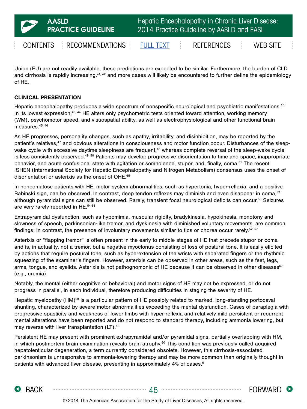<span id="page-44-0"></span>[CONTENTS](#page-1-0) [RECOMMENDATIONS](#page-2-0) [FULL TEXT](#page-39-0) [REFERENCES](#page-66-0) [WEB SITE](http://aasld.org/practiceguidelines/Pages/guidelinelisting.aspx) **FULL TEXT** 

Union (EU) are not readily available, these predictions are expected to be similar. Furthermore, the burden of CLD and cirrhosis is rapidly increasing,<sup>41, 42</sup> and more cases will likely be encountered to further define the epidemiology of HE.

# CLINICAL PRESENTATION

Hepatic encephalopathy produces a wide spectrum of nonspecific neurological and psychiatric manifestations.<sup>10</sup> In its lowest expression,<sup>43, 44</sup> HE alters only psychometric tests oriented toward attention, working memory (WM), psychomotor speed, and visuospatial ability, as well as electrophysiological and other functional brain measures.45, 46

As HE progresses, personality changes, such as apathy, irritability, and disinhibition, may be reported by the patient's relatives,<sup>47</sup> and obvious alterations in consciousness and motor function occur. Disturbances of the sleepwake cycle with excessive daytime sleepiness are frequent,<sup>48</sup> whereas complete reversal of the sleep-wake cycle is less consistently observed.<sup>49, 50</sup> Patients may develop progressive disorientation to time and space, inappropriate behavior, and acute confusional state with agitation or somnolence, stupor, and, finally, coma.<sup>51</sup> The recent ISHEN (International Society for Hepatic Encephalopathy and Nitrogen Metabolism) consensus uses the onset of disorientation or asterixis as the onset of OHE.<sup>65</sup>

In noncomatose patients with HE, motor system abnormalities, such as hypertonia, hyper-reflexia, and a positive Babinski sign, can be observed. In contrast, deep tendon reflexes may diminish and even disappear in coma,<sup>52</sup> although pyramidal signs can still be observed. Rarely, transient focal neurological deficits can occur.<sup>53</sup> Seizures are very rarely reported in HE.54-56

Extrapyramidal dysfunction, such as hypomimia, muscular rigidity, bradykinesia, hypokinesia, monotony and slowness of speech, parkinsonian-like tremor, and dyskinesia with diminished voluntary movements, are common findings; in contrast, the presence of involuntary movements similar to tics or chorea occur rarely.<sup>52, 57</sup>

Asterixis or "flapping tremor" is often present in the early to middle stages of HE that precede stupor or coma and is, in actuality, not a tremor, but a negative myoclonus consisting of loss of postural tone. It is easily elicited by actions that require postural tone, such as hyperextension of the wrists with separated fingers or the rhythmic squeezing of the examiner's fingers. However, asterixis can be observed in other areas, such as the feet, legs, arms, tongue, and eyelids. Asterixis is not pathognomonic of HE because it can be observed in other diseases<sup>57</sup> (e.g., uremia).

Notably, the mental (either cognitive or behavioral) and motor signs of HE may not be expressed, or do not progress in parallel, in each individual, therefore producing difficulties in staging the severity of HE.

Hepatic myelopathy (HM)<sup>58</sup> is a particular pattern of HE possibly related to marked, long-standing portocaval shunting, characterized by severe motor abnormalities exceeding the mental dysfunction. Cases of paraplegia with progressive spasticity and weakness of lower limbs with hyper-reflexia and relatively mild persistent or recurrent mental alterations have been reported and do not respond to standard therapy, including ammonia lowering, but may reverse with liver transplantation (LT).<sup>59</sup>

Persistent HE may present with prominent extrapyramidal and/or pyramidal signs, partially overlapping with HM, in which postmortem brain examination reveals brain atrophy.<sup>60</sup> This condition was previously called acquired hepatolenticular degeneration, a term currently considered obsolete. However, this cirrhosis-associated parkinsonism is unresponsive to ammonia-lowering therapy and may be more common than originally thought in patients with advanced liver disease, presenting in approximately 4% of cases.<sup>61</sup>

[BACK](#page-43-0) <del>Examples 20</del> A5 45 [FORWARD](#page-45-0)

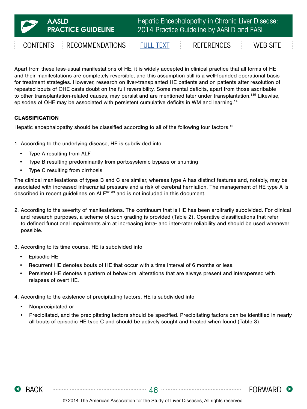# <span id="page-45-0"></span>[CONTENTS](#page-1-0) [RECOMMENDATIONS](#page-2-0) [FULL TEXT](#page-39-0) [REFERENCES](#page-66-0) [WEB SITE](http://aasld.org/practiceguidelines/Pages/guidelinelisting.aspx)

Apart from these less-usual manifestations of HE, it is widely accepted in clinical practice that all forms of HE and their manifestations are completely reversible, and this assumption still is a well-founded operational basis for treatment strategies. However, research on liver-transplanted HE patients and on patients after resolution of repeated bouts of OHE casts doubt on the full reversibility. Some mental deficits, apart from those ascribable to other transplantation-related causes, may persist and are mentioned later under transplantation.<sup>135</sup> Likewise, episodes of OHE may be associated with persistent cumulative deficits in WM and learning.<sup>14</sup>

# CLASSIFICATION

Hepatic encephalopathy should be classified according to all of the following four factors.<sup>10</sup>

- 1. According to the underlying disease, HE is subdivided into
	- Type A resulting from ALF
	- Type B resulting predominantly from portosystemic bypass or shunting
	- Type C resulting from cirrhosis

The clinical manifestations of types B and C are similar, whereas type A has distinct features and, notably, may be associated with increased intracranial pressure and a risk of cerebral herniation. The management of HE type A is described in recent guidelines on ALF<sup>62, 63</sup> and is not included in this document.

- 2. According to the severity of manifestations. The continuum that is HE has been arbitrarily subdivided. For clinical and research purposes, a scheme of such grading is provided (Table 2). Operative classifications that refer to defined functional impairments aim at increasing intra- and inter-rater reliability and should be used whenever possible.
- 3. According to its time course, HE is subdivided into
	- Episodic HE
	- Recurrent HE denotes bouts of HE that occur with a time interval of 6 months or less.
	- Persistent HE denotes a pattern of behavioral alterations that are always present and interspersed with relapses of overt HE.
- 4. According to the existence of precipitating factors, HE is subdivided into
	- Nonprecipitated or
	- Precipitated, and the precipitating factors should be specified. Precipitating factors can be identified in nearly all bouts of episodic HE type C and should be actively sought and treated when found (Table 3).

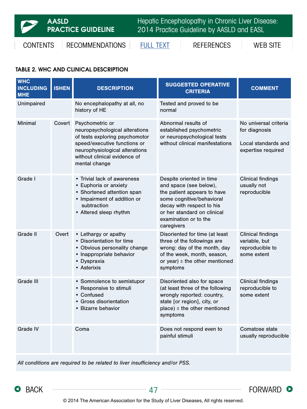<span id="page-46-0"></span>

# TABLE 2. WHC AND CLINICAL DESCRIPTION

| <b>WHC</b><br><b>INCLUDING</b><br><b>MHE</b> | <b>ISHEN</b> | <b>DESCRIPTION</b>                                                                                                                                                                                     | <b>SUGGESTED OPERATIVE</b><br><b>CRITERIA</b>                                                                                                                                                                     | <b>COMMENT</b>                                                                      |
|----------------------------------------------|--------------|--------------------------------------------------------------------------------------------------------------------------------------------------------------------------------------------------------|-------------------------------------------------------------------------------------------------------------------------------------------------------------------------------------------------------------------|-------------------------------------------------------------------------------------|
| Unimpaired                                   |              | No encephalopathy at all, no<br>history of HE                                                                                                                                                          | Tested and proved to be<br>normal                                                                                                                                                                                 |                                                                                     |
| Minimal                                      | Covert       | Psychometric or<br>neuropsychological alterations<br>of tests exploring psychomotor<br>speed/executive functions or<br>neurophysiological alterations<br>without clinical evidence of<br>mental change | Abnormal results of<br>established psychometric<br>or neuropsychological tests<br>without clinical manifestations                                                                                                 | No universal criteria<br>for diagnosis<br>Local standards and<br>expertise required |
| Grade I                                      |              | • Trivial lack of awareness<br>• Euphoria or anxiety<br>• Shortened attention span<br>• Impairment of addition or<br>subtraction<br>• Altered sleep rhythm                                             | Despite oriented in time<br>and space (see below),<br>the patient appears to have<br>some cognitive/behavioral<br>decay with respect to his<br>or her standard on clinical<br>examination or to the<br>caregivers | <b>Clinical findings</b><br>usually not<br>reproducible                             |
| <b>Grade II</b>                              | Overt        | • Lethargy or apathy<br>• Disorientation for time<br>• Obvious personality change<br>• Inappropriate behavior<br>• Dyspraxia<br>• Asterixis                                                            | Disoriented for time (at least<br>three of the followings are<br>wrong: day of the month, day<br>of the week, month, season,<br>or year) $\pm$ the other mentioned<br>symptoms                                    | <b>Clinical findings</b><br>variable, but<br>reproducible to<br>some extent         |
| <b>Grade III</b>                             |              | • Somnolence to semistupor<br>• Responsive to stimuli<br>• Confused<br>• Gross disorientation<br>• Bizarre behavior                                                                                    | Disoriented also for space<br>(at least three of the following<br>wrongly reported: country,<br>state [or region], city, or<br>place) $\pm$ the other mentioned<br>symptoms                                       | Clinical findings<br>reproducible to<br>some extent                                 |
| <b>Grade IV</b>                              |              | Coma                                                                                                                                                                                                   | Does not respond even to<br>painful stimuli                                                                                                                                                                       | <b>Comatose state</b><br>usually reproducible                                       |

*All conditions are required to be related to liver insufficiency and/or PSS.*



© 2014 The American Association for the Study of Liver Diseases, All rights reserved.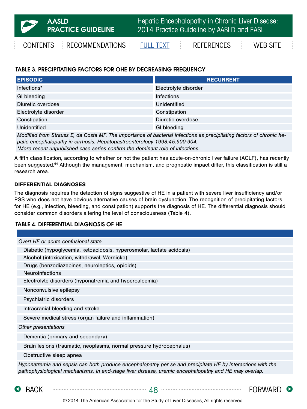Hepatic Encephalopathy in Chronic Liver Disease: 2014 Practice Guideline by AASLD and EASL

<span id="page-47-0"></span>[CONTENTS](#page-1-0) [RECOMMENDATIONS](#page-2-0) [FULL TEXT](#page-39-0) [REFERENCES](#page-66-0) [WEB SITE](http://aasld.org/practiceguidelines/Pages/guidelinelisting.aspx) **FULL TEXT** 

# TABLE 3. PRECIPITATING FACTORS FOR OHE BY DECREASING FREQUENCY

| <b>EPISODIC</b>                                                                                                    | <b>RECURRENT</b>     |  |  |  |
|--------------------------------------------------------------------------------------------------------------------|----------------------|--|--|--|
| Infections*                                                                                                        | Electrolyte disorder |  |  |  |
| GI bleeding                                                                                                        | <b>Infections</b>    |  |  |  |
| Diuretic overdose                                                                                                  | Unidentified         |  |  |  |
| Electrolyte disorder                                                                                               | Constipation         |  |  |  |
| Constipation                                                                                                       | Diuretic overdose    |  |  |  |
| <b>Unidentified</b>                                                                                                | GI bleeding          |  |  |  |
| Meditiad tuane Ctuanee E de Ceste ME The importance of heaterial infestione es nuccipitation festere of ebranic he |                      |  |  |  |

*Modified from Strauss E, da Costa MF. The importance of bacterial infections as precipitating factors of chronic hepatic encephalopathy in cirrhosis. Hepatogastroenterology 1998;45:900-904. \*More recent unpublished case series confirm the dominant role of infections.*

A fifth classification, according to whether or not the patient has acute-on-chronic liver failure (ACLF), has recently been suggested.<sup>64</sup> Although the management, mechanism, and prognostic impact differ, this classification is still a research area.

# DIFFERENTIAL DIAGNOSES

The diagnosis requires the detection of signs suggestive of HE in a patient with severe liver insufficiency and/or PSS who does not have obvious alternative causes of brain dysfunction. The recognition of precipitating factors for HE (e.g., infection, bleeding, and constipation) supports the diagnosis of HE. The differential diagnosis should consider common disorders altering the level of consciousness (Table 4).

# TABLE 4. DIFFERENTIAL DIAGNOSIS OF HE

| Overt HE or acute confusional state                                                                                                                                                                                |  |  |  |  |
|--------------------------------------------------------------------------------------------------------------------------------------------------------------------------------------------------------------------|--|--|--|--|
| Diabetic (hypoglycemia, ketoacidosis, hyperosmolar, lactate acidosis)                                                                                                                                              |  |  |  |  |
| Alcohol (intoxication, withdrawal, Wernicke)                                                                                                                                                                       |  |  |  |  |
| Drugs (benzodiazepines, neuroleptics, opioids)                                                                                                                                                                     |  |  |  |  |
| <b>Neuroinfections</b>                                                                                                                                                                                             |  |  |  |  |
| Electrolyte disorders (hyponatremia and hypercalcemia)                                                                                                                                                             |  |  |  |  |
| Nonconvulsive epilepsy                                                                                                                                                                                             |  |  |  |  |
| <b>Psychiatric disorders</b>                                                                                                                                                                                       |  |  |  |  |
| Intracranial bleeding and stroke                                                                                                                                                                                   |  |  |  |  |
| Severe medical stress (organ failure and inflammation)                                                                                                                                                             |  |  |  |  |
| Other presentations                                                                                                                                                                                                |  |  |  |  |
| Dementia (primary and secondary)                                                                                                                                                                                   |  |  |  |  |
| Brain lesions (traumatic, neoplasms, normal pressure hydrocephalus)                                                                                                                                                |  |  |  |  |
| Obstructive sleep apnea                                                                                                                                                                                            |  |  |  |  |
| Hyponatremia and sepsis can both produce encephalopathy per se and precipitate HE by interactions with the<br>pathophysiological mechanisms. In end-stage liver disease, uremic encephalopathy and HE may overlap. |  |  |  |  |

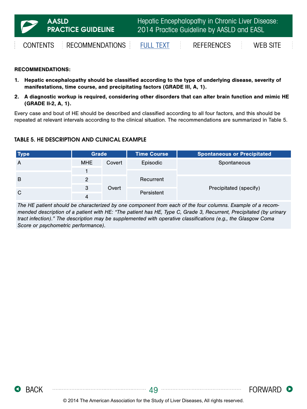<span id="page-48-0"></span>[CONTENTS](#page-1-0) [RECOMMENDATIONS](#page-2-0) [FULL TEXT](#page-39-0) [REFERENCES](#page-66-0) [WEB SITE](http://aasld.org/practiceguidelines/Pages/guidelinelisting.aspx) **FULL TEXT** 

### RECOMMENDATIONS:

- 1. Hepatic encephalopathy should be classified according to the type of underlying disease, severity of manifestations, time course, and precipitating factors (GRADE III, A, 1).
- 2. A diagnostic workup is required, considering other disorders that can alter brain function and mimic HE (GRADE II-2, A, 1).

Every case and bout of HE should be described and classified according to all four factors, and this should be repeated at relevant intervals according to the clinical situation. The recommendations are summarized in Table 5.

# TABLE 5. HE DESCRIPTION AND CLINICAL EXAMPLE

| Type           | <b>Grade</b>   |        | <b>Time Course</b> | <b>Spontaneous or Precipitated</b> |
|----------------|----------------|--------|--------------------|------------------------------------|
| $\overline{A}$ | <b>MHE</b>     | Covert | Episodic           | Spontaneous                        |
|                |                |        |                    |                                    |
| B              | $\overline{2}$ |        | Recurrent          |                                    |
|                | 3              | Overt  | Persistent         | Precipitated (specify)             |
| $\mathsf{C}$   |                |        |                    |                                    |

*The HE patient should be characterized by one component from each of the four columns. Example of a recommended description of a patient with HE: "The patient has HE, Type C, Grade 3, Recurrent, Precipitated (by urinary tract infection)." The description may be supplemented with operative classifications (e.g., the Glasgow Coma Score or psychometric performance).*

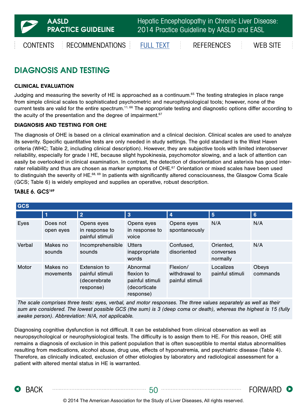<span id="page-49-0"></span>[CONTENTS](#page-1-0) [RECOMMENDATIONS](#page-2-0) [FULL TEXT](#page-39-0) [REFERENCES](#page-66-0) [WEB SITE](http://aasld.org/practiceguidelines/Pages/guidelinelisting.aspx)

# DIAGNOSIS AND TESTING

# CLINICAL EVALUATION

Judging and measuring the severity of HE is approached as a continuum.<sup>65</sup> The testing strategies in place range from simple clinical scales to sophisticated psychometric and neurophysiological tools; however, none of the current tests are valid for the entire spectrum.<sup>11, 66</sup> The appropriate testing and diagnostic options differ according to the acuity of the presentation and the degree of impairment. $67$ 

# DIAGNOSIS AND TESTING FOR OHE

The diagnosis of OHE is based on a clinical examination and a clinical decision. Clinical scales are used to analyze its severity. Specific quantitative tests are only needed in study settings. The gold standard is the West Haven criteria (WHC; Table 2, including clinical description). However, they are subjective tools with limited interobserver reliability, especially for grade I HE, because slight hypokinesia, psychomotor slowing, and a lack of attention can easily be overlooked in clinical examination. In contrast, the detection of disorientation and asterixis has good interrater reliability and thus are chosen as marker symptoms of OHE.<sup>67</sup> Orientation or mixed scales have been used to distinguish the severity of HE.<sup>68, 69</sup> In patients with significantly altered consciousness, the Glasgow Coma Scale (GCS; Table 6) is widely employed and supplies an operative, robust description.

| <b>GCS</b>  |                       |                                                                     |                                                                         |                                              |                                    |                          |
|-------------|-----------------------|---------------------------------------------------------------------|-------------------------------------------------------------------------|----------------------------------------------|------------------------------------|--------------------------|
|             | d.                    | $\overline{2}$                                                      | $\overline{3}$                                                          | 4                                            | $5\phantom{1}$                     | $6\phantom{1}$           |
| <b>Eyes</b> | Does not<br>open eyes | Opens eyes<br>in response to<br>painful stimuli                     | Opens eyes<br>in response to<br>voice                                   | Opens eyes<br>spontaneously                  | N/A                                | N/A                      |
| Verbal      | Makes no<br>sounds    | Incomprehensible<br>sounds                                          | <b>Utters</b><br>inappropriate<br>words                                 | Confused,<br>disoriented                     | Oriented,<br>converses<br>normally | N/A                      |
| Motor       | Makes no<br>movements | <b>Extension to</b><br>painful stimuli<br>(decerebrate<br>response) | Abnormal<br>flexion to<br>painful stimuli<br>(decorticate)<br>response) | Flexion/<br>withdrawal to<br>painful stimuli | Localizes<br>painful stimuli       | <b>Obeys</b><br>commands |

# TABLE 6. GCS<sup>169</sup>

*The scale comprises three tests: eyes, verbal, and motor responses. The three values separately as well as their sum are considered. The lowest possible GCS (the sum) is 3 (deep coma or death), whereas the highest is 15 (fully awake person). Abbreviation: N/A, not applicable.*

Diagnosing cognitive dysfunction is not difficult. It can be established from clinical observation as well as neuropsychological or neurophysiological tests. The difficulty is to assign them to HE. For this reason, OHE still remains a diagnosis of exclusion in this patient population that is often susceptible to mental status abnormalities resulting from medications, alcohol abuse, drug use, effects of hyponatremia, and psychiatric disease (Table 4). Therefore, as clinically indicated, exclusion of other etiologies by laboratory and radiological assessment for a patient with altered mental status in HE is warranted.

[BACK](#page-48-0) <del>Example 20</del> SO 50 [FORWARD](#page-50-0)

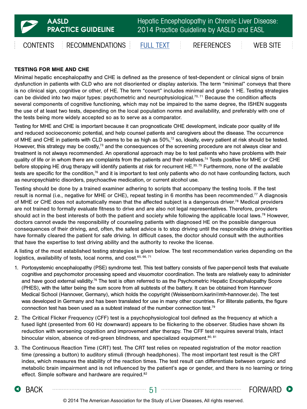<span id="page-50-0"></span>[CONTENTS](#page-1-0) [RECOMMENDATIONS](#page-2-0) [FULL TEXT](#page-39-0) [REFERENCES](#page-66-0) [WEB SITE](http://aasld.org/practiceguidelines/Pages/guidelinelisting.aspx) **FULL TEXT** 

# TESTING FOR MHE AND CHE

Minimal hepatic encephalopathy and CHE is defined as the presence of test-dependent or clinical signs of brain dysfunction in patients with CLD who are not disoriented or display asterixis. The term "minimal" conveys that there is no clinical sign, cognitive or other, of HE. The term "covert" includes minimal and grade 1 HE. Testing strategies can be divided into two major types: psychometric and neurophysiological.<sup>70, 71</sup> Because the condition affects several components of cognitive functioning, which may not be impaired to the same degree, the ISHEN suggests the use of at least two tests, depending on the local population norms and availability, and preferably with one of the tests being more widely accepted so as to serve as a comparator.

Testing for MHE and CHE is important because it can prognosticate OHE development, indicate poor quality of life and reduced socioeconomic potential, and help counsel patients and caregivers about the disease. The occurrence of MHE and CHE in patients with CLD seems to be as high as 50%,<sup>72</sup> so, ideally, every patient at risk should be tested. However, this strategy may be costly,<sup>73</sup> and the consequences of the screening procedure are not always clear and treatment is not always recommended. An operational approach may be to test patients who have problems with their quality of life or in whom there are complaints from the patients and their relatives.<sup>74</sup> Tests positive for MHE or CHE before stopping HE drug therapy will identify patients at risk for recurrent HE.33, 75 Furthermore, none of the available tests are specific for the condition,<sup>76</sup> and it is important to test only patients who do not have confounding factors, such as neuropsychiatric disorders, psychoactive medication, or current alcohol use.

Testing should be done by a trained examiner adhering to scripts that accompany the testing tools. If the test result is normal (i.e., negative for MHE or CHE), repeat testing in 6 months has been recommended.<sup>77</sup> A diagnosis of MHE or CHE does not automatically mean that the affected subject is a dangerous driver.<sup>78</sup> Medical providers are not trained to formally evaluate fitness to drive and are also not legal representatives. Therefore, providers should act in the best interests of both the patient and society while following the applicable local laws.<sup>78</sup> However, doctors cannot evade the responsibility of counseling patients with diagnosed HE on the possible dangerous consequences of their driving, and, often, the safest advice is to stop driving until the responsible driving authorities have formally cleared the patient for safe driving. In difficult cases, the doctor should consult with the authorities that have the expertise to test driving ability and the authority to revoke the license.

A listing of the most established testing strategies is given below. The test recommendation varies depending on the logistics, availability of tests, local norms, and cost.<sup>65, 66, 71</sup>

- 1. Portosystemic encephalopathy (PSE) syndrome test. This test battery consists of five paper-pencil tests that evaluate cognitive and psychomotor processing speed and visuomotor coordination. The tests are relatively easy to administer and have good external validity.<sup>76</sup> The test is often referred to as the Psychometric Hepatic Encephalopathy Score (PHES), with the latter being the sum score from all subtests of the battery. It can be obtained from Hannover Medical School (Hannover, Germany), which holds the copyright (Weissenborn.karin@mh-hannover.de). The test was developed in Germany and has been translated for use in many other countries. For illiterate patients, the figure connection test has been used as a subtest instead of the number connection test.79
- 2. The Critical Flicker Frequency (CFF) test is a psychophysiological tool defined as the frequency at which a fused light (presented from 60 Hz downward) appears to be flickering to the observer. Studies have shown its reduction with worsening cognition and improvement after therapy. The CFF test requires several trials, intact binocular vision, absence of red-green blindness, and specialized equipment.<sup>80, 81</sup>
- 3. The Continuous Reaction Time (CRT) test. The CRT test relies on repeated registration of the motor reaction time (pressing a button) to auditory stimuli (through headphones). The most important test result is the CRT index, which measures the stability of the reaction times. The test result can differentiate between organic and metabolic brain impairment and is not influenced by the patient's age or gender, and there is no learning or tiring effect. Simple software and hardware are required.<sup>82</sup>

 $\bullet$  [BACK](#page-49-0)  $\bullet$  [FORWARD](#page-51-0)  $\bullet$ 

--------------- 51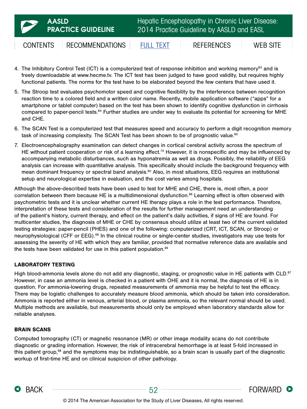#### <span id="page-51-0"></span>[CONTENTS](#page-1-0) [RECOMMENDATIONS](#page-2-0) [FULL TEXT](#page-39-0) [REFERENCES](#page-66-0) [WEB SITE](http://aasld.org/practiceguidelines/Pages/guidelinelisting.aspx) **FULL TEXT**

- 4. The Inhibitory Control Test (ICT) is a computerized test of response inhibition and working memory<sup>83</sup> and is freely downloadable at www.hecme.tv. The ICT test has been judged to have good validity, but requires highly functional patients. The norms for the test have to be elaborated beyond the few centers that have used it.
- 5. The Stroop test evaluates psychomotor speed and cognitive flexibility by the interference between recognition reaction time to a colored field and a written color name. Recently, mobile application software ("apps" for a smartphone or tablet computer) based on the test has been shown to identify cognitive dysfunction in cirrhosis compared to paper-pencil tests.<sup>84</sup> Further studies are under way to evaluate its potential for screening for MHE and CHE.
- 6. The SCAN Test is a computerized test that measures speed and accuracy to perform a digit recognition memory task of increasing complexity. The SCAN Test has been shown to be of prognostic value.<sup>85</sup>
- 7. Electroencephalography examination can detect changes in cortical cerebral activity across the spectrum of HE without patient cooperation or risk of a learning effect.<sup>70</sup> However, it is nonspecific and may be influenced by accompanying metabolic disturbances, such as hyponatremia as well as drugs. Possibly, the reliability of EEG analysis can increase with quantitative analysis. This specifically should include the background frequency with mean dominant frequency or spectral band analysis.<sup>60</sup> Also, in most situations, EEG requires an institutional setup and neurological expertise in evaluation, and the cost varies among hospitals.

Although the above-described tests have been used to test for MHE and CHE, there is, most often, a poor correlation between them because HE is a multidimensional dysfunction.<sup>86</sup> Learning effect is often observed with psychometric tests and it is unclear whether current HE therapy plays a role in the test performance. Therefore, interpretation of these tests and consideration of the results for further management need an understanding of the patient's history, current therapy, and effect on the patient's daily activities, if signs of HE are found. For multicenter studies, the diagnosis of MHE or CHE by consensus should utilize at least two of the current validated testing strategies: paper-pencil (PHES) and one of the following: computerized (CRT, ICT, SCAN, or Stroop) or neurophysiological (CFF or EEG).<sup>66</sup> In the clinical routine or single-center studies, investigators may use tests for assessing the severity of HE with which they are familiar, provided that normative reference data are available and the tests have been validated for use in this patient population.<sup>66</sup>

# LABORATORY TESTING

High blood-ammonia levels alone do not add any diagnostic, staging, or prognostic value in HE patients with CLD.<sup>87</sup> However, in case an ammonia level is checked in a patient with OHE and it is normal, the diagnosis of HE is in question. For ammonia-lowering drugs, repeated measurements of ammonia may be helpful to test the efficacy. There may be logistic challenges to accurately measure blood ammonia, which should be taken into consideration. Ammonia is reported either in venous, arterial blood, or plasma ammonia, so the relevant normal should be used. Multiple methods are available, but measurements should only be employed when laboratory standards allow for reliable analyses.

# BRAIN SCANS

Computed tomography (CT) or magnetic resonance (MR) or other image modality scans do not contribute diagnostic or grading information. However, the risk of intracerebral hemorrhage is at least 5-fold increased in this patient group,<sup>88</sup> and the symptoms may be indistinguishable, so a brain scan is usually part of the diagnostic workup of first-time HE and on clinical suspicion of other pathology.

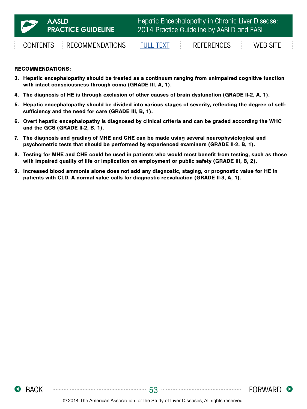<span id="page-52-0"></span>[CONTENTS](#page-1-0) [RECOMMENDATIONS](#page-2-0) [FULL TEXT](#page-39-0) [REFERENCES](#page-66-0) [WEB SITE](http://aasld.org/practiceguidelines/Pages/guidelinelisting.aspx) **FULL TEXT** 

### RECOMMENDATIONS:

- 3. Hepatic encephalopathy should be treated as a continuum ranging from unimpaired cognitive function with intact consciousness through coma (GRADE III, A, 1).
- 4. The diagnosis of HE is through exclusion of other causes of brain dysfunction (GRADE II-2, A, 1).
- 5. Hepatic encephalopathy should be divided into various stages of severity, reflecting the degree of selfsufficiency and the need for care (GRADE III, B, 1).
- 6. Overt hepatic encephalopathy is diagnosed by clinical criteria and can be graded according the WHC and the GCS (GRADE II-2, B, 1).
- 7. The diagnosis and grading of MHE and CHE can be made using several neurophysiological and psychometric tests that should be performed by experienced examiners (GRADE II-2, B, 1).
- 8. Testing for MHE and CHE could be used in patients who would most benefit from testing, such as those with impaired quality of life or implication on employment or public safety (GRADE III, B, 2).
- 9. Increased blood ammonia alone does not add any diagnostic, staging, or prognostic value for HE in patients with CLD. A normal value calls for diagnostic reevaluation (GRADE II-3, A, 1).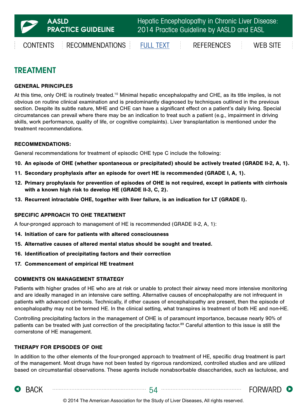Hepatic Encephalopathy in Chronic Liver Disease: 2014 Practice Guideline by AASLD and EASL

<span id="page-53-0"></span>[CONTENTS](#page-1-0) [RECOMMENDATIONS](#page-2-0) [FULL TEXT](#page-39-0) [REFERENCES](#page-66-0) [WEB SITE](http://aasld.org/practiceguidelines/Pages/guidelinelisting.aspx)

# TREATMENT

# GENERAL PRINCIPLES

At this time, only OHE is routinely treated.<sup>10</sup> Minimal hepatic encephalopathy and CHE, as its title implies, is not obvious on routine clinical examination and is predominantly diagnosed by techniques outlined in the previous section. Despite its subtle nature, MHE and CHE can have a significant effect on a patient's daily living. Special circumstances can prevail where there may be an indication to treat such a patient (e.g., impairment in driving skills, work performance, quality of life, or cognitive complaints). Liver transplantation is mentioned under the treatment recommendations.

# RECOMMENDATIONS:

General recommendations for treatment of episodic OHE type C include the following:

- 10. An episode of OHE (whether spontaneous or precipitated) should be actively treated (GRADE II-2, A, 1).
- 11. Secondary prophylaxis after an episode for overt HE is recommended (GRADE I, A, 1).
- 12. Primary prophylaxis for prevention of episodes of OHE is not required, except in patients with cirrhosis with a known high risk to develop HE (GRADE II-3, C, 2).
- 13. Recurrent intractable OHE, together with liver failure, is an indication for LT (GRADE I).

# SPECIFIC APPROACH TO OHE TREATMENT

A four-pronged approach to management of HE is recommended (GRADE II-2, A, 1):

- 14. Initiation of care for patients with altered consciousness
- 15. Alternative causes of altered mental status should be sought and treated.
- 16. Identification of precipitating factors and their correction
- 17. Commencement of empirical HE treatment

# COMMENTS ON MANAGEMENT STRATEGY

Patients with higher grades of HE who are at risk or unable to protect their airway need more intensive monitoring and are ideally managed in an intensive care setting. Alternative causes of encephalopathy are not infrequent in patients with advanced cirrhosis. Technically, if other causes of encephalopathy are present, then the episode of encephalopathy may not be termed HE. In the clinical setting, what transpires is treatment of both HE and non-HE.

Controlling precipitating factors in the management of OHE is of paramount importance, because nearly 90% of patients can be treated with just correction of the precipitating factor.<sup>89</sup> Careful attention to this issue is still the cornerstone of HE management.

# THERAPY FOR EPISODES OF OHE

In addition to the other elements of the four-pronged approach to treatment of HE, specific drug treatment is part of the management. Most drugs have not been tested by rigorous randomized, controlled studies and are utilized based on circumstantial observations. These agents include nonabsorbable disaccharides, such as lactulose, and

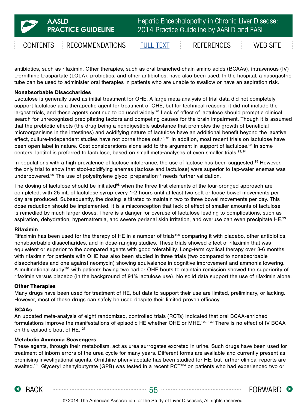#### <span id="page-54-0"></span>[CONTENTS](#page-1-0) [RECOMMENDATIONS](#page-2-0) [FULL TEXT](#page-39-0) [REFERENCES](#page-66-0) [WEB SITE](http://aasld.org/practiceguidelines/Pages/guidelinelisting.aspx) **FULL TEXT**

antibiotics, such as rifaximin. Other therapies, such as oral branched-chain amino acids (BCAAs), intravenous (IV) L-ornithine L-aspartate (LOLA), probiotics, and other antibiotics, have also been used. In the hospital, a nasogastric tube can be used to administer oral therapies in patients who are unable to swallow or have an aspiration risk.

## Nonabsorbable Disaccharides

Lactulose is generally used as initial treatment for OHE. A large meta-analysis of trial data did not completely support lactulose as a therapeutic agent for treatment of OHE, but for technical reasons, it did not include the largest trials, and these agents continue to be used widely.<sup>90</sup> Lack of effect of lactulose should prompt a clinical search for unrecognized precipitating factors and competing causes for the brain impairment. Though it is assumed that the prebiotic effects (the drug being a nondigestible substance that promotes the growth of beneficial microorganisms in the intestines) and acidifying nature of lactulose have an additional benefit beyond the laxative effect, culture-independent studies have not borne those out.<sup>75, 91</sup> In addition, most recent trials on lactulose have been open label in nature. Cost considerations alone add to the argument in support of lactulose.<sup>92</sup> In some centers, lactitol is preferred to lactulose, based on small meta-analyses of even smaller trials.<sup>93, 94</sup>

In populations with a high prevalence of lactose intolerance, the use of lactose has been suggested.<sup>95</sup> However, the only trial to show that stool-acidifying enemas (lactose and lactulose) were superior to tap-water enemas was underpowered. $96$  The use of polyethylene glycol preparation $97$  needs further validation.

The dosing of lactulose should be initiated<sup>98</sup> when the three first elements of the four-pronged approach are completed, with 25 mL of lactulose syrup every 1-2 hours until at least two soft or loose bowel movements per day are produced. Subsequently, the dosing is titrated to maintain two to three bowel movements per day. This dose reduction should be implemented. It is a misconception that lack of effect of smaller amounts of lactulose is remedied by much larger doses. There is a danger for overuse of lactulose leading to complications, such as aspiration, dehydration, hypernatremia, and severe perianal skin irritation, and overuse can even precipitate HE.<sup>99</sup>

# Rifaximin

Rifaximin has been used for the therapy of HE in a number of trials<sup>100</sup> comparing it with placebo, other antibiotics, nonabsorbable disaccharides, and in dose-ranging studies. These trials showed effect of rifaximin that was equivalent or superior to the compared agents with good tolerability. Long-term cyclical therapy over 3-6 months with rifaximin for patients with OHE has also been studied in three trials (two compared to nonabsorbable disaccharides and one against neomycin) showing equivalence in cognitive improvement and ammonia lowering. A multinational study<sup>101</sup> with patients having two earlier OHE bouts to maintain remission showed the superiority of rifaximin versus placebo (in the background of 91% lactulose use). No solid data support the use of rifaximin alone.

# Other Therapies

Many drugs have been used for treatment of HE, but data to support their use are limited, preliminary, or lacking. However, most of these drugs can safely be used despite their limited proven efficacy.

# BCAAs

An updated meta-analysis of eight randomized, controlled trials (RCTs) indicated that oral BCAA-enriched formulations improve the manifestations of episodic HE whether OHE or MHE.<sup>102, 130</sup> There is no effect of IV BCAA on the episodic bout of HE.<sup>127</sup>

# Metabolic Ammonia Scavengers

These agents, through their metabolism, act as urea surrogates excreted in urine. Such drugs have been used for treatment of inborn errors of the urea cycle for many years. Different forms are available and currently present as promising investigational agents. Ornithine phenylacetate has been studied for HE, but further clinical reports are awaited.<sup>103</sup> Glyceryl phenylbutyrate (GPB) was tested in a recent RCT<sup>104</sup> on patients who had experienced two or

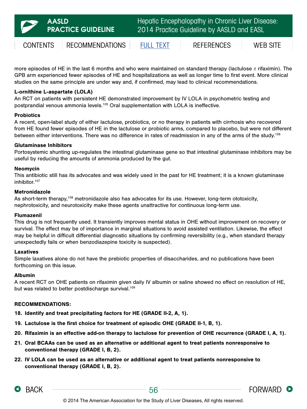<span id="page-55-0"></span>[CONTENTS](#page-1-0) [RECOMMENDATIONS](#page-2-0) [FULL TEXT](#page-39-0) [REFERENCES](#page-66-0) [WEB SITE](http://aasld.org/practiceguidelines/Pages/guidelinelisting.aspx)

more episodes of HE in the last 6 months and who were maintained on standard therapy (lactulose  $\pm$  rifaximin). The GPB arm experienced fewer episodes of HE and hospitalizations as well as longer time to first event. More clinical studies on the same principle are under way and, if confirmed, may lead to clinical recommendations.

### L-ornithine L-aspartate (LOLA)

An RCT on patients with persistent HE demonstrated improvement by IV LOLA in psychometric testing and postprandial venous ammonia levels.105 Oral supplementation with LOLA is ineffective.

#### **Probiotics**

A recent, open-label study of either lactulose, probiotics, or no therapy in patients with cirrhosis who recovered from HE found fewer episodes of HE in the lactulose or probiotic arms, compared to placebo, but were not different between either interventions. There was no difference in rates of readmission in any of the arms of the study.<sup>106</sup>

#### Glutaminase Inhibitors

Portosystemic shunting up-regulates the intestinal glutaminase gene so that intestinal glutaminase inhibitors may be useful by reducing the amounts of ammonia produced by the gut.

#### Neomycin

This antibiotic still has its advocates and was widely used in the past for HE treatment; it is a known glutaminase inhibitor.107

#### Metronidazole

As short-term therapy,<sup>108</sup> metronidazole also has advocates for its use. However, long-term ototoxicity, nephrotoxicity, and neurotoxicity make these agents unattractive for continuous long-term use.

#### Flumazenil

This drug is not frequently used. It transiently improves mental status in OHE without improvement on recovery or survival. The effect may be of importance in marginal situations to avoid assisted ventilation. Likewise, the effect may be helpful in difficult differential diagnostic situations by confirming reversibility (e.g., when standard therapy unexpectedly fails or when benzodiazepine toxicity is suspected).

#### Laxatives

Simple laxatives alone do not have the prebiotic properties of disaccharides, and no publications have been forthcoming on this issue.

#### Albumin

A recent RCT on OHE patients on rifaximin given daily IV albumin or saline showed no effect on resolution of HE, but was related to better postdischarge survival.<sup>109</sup>

#### RECOMMENDATIONS:

- 18. Identify and treat precipitating factors for HE (GRADE II-2, A, 1).
- 19. Lactulose is the first choice for treatment of episodic OHE (GRADE II-1, B, 1).
- 20. Rifaximin is an effective add-on therapy to lactulose for prevention of OHE recurrence (GRADE I, A, 1).
- 21. Oral BCAAs can be used as an alternative or additional agent to treat patients nonresponsive to conventional therapy (GRADE I, B, 2).
- 22. IV LOLA can be used as an alternative or additional agent to treat patients nonresponsive to conventional therapy (GRADE I, B, 2).

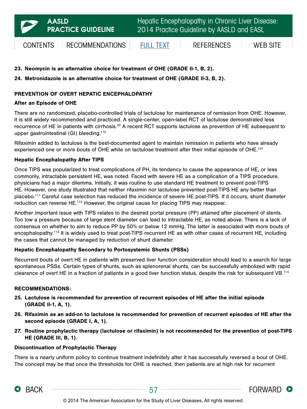<span id="page-56-0"></span>[CONTENTS](#page-1-0) [RECOMMENDATIONS](#page-2-0) [FULL TEXT](#page-39-0) [REFERENCES](#page-66-0) [WEB SITE](http://aasld.org/practiceguidelines/Pages/guidelinelisting.aspx) **FULL TEXT** 

23. Neomycin is an alternative choice for treatment of OHE (GRADE II-1, B, 2).

24. Metronidazole is an alternative choice for treatment of OHE (GRADE II-3, B, 2).

# PREVENTION OF OVERT HEPATIC ENCEPHALOPATHY

## After an Episode of OHE

There are no randomized, placebo-controlled trials of lactulose for maintenance of remission from OHE. However, it is still widely recommended and practiced. A single-center, open-label RCT of lactulose demonstrated less recurrence of HE in patients with cirrhosis.<sup>33</sup> A recent RCT supports lactulose as prevention of HE subsequent to upper gastrointestinal (GI) bleeding.<sup>110</sup>

Rifaximin added to lactulose is the best-documented agent to maintain remission in patients who have already experienced one or more bouts of OHE while on lactulose treatment after their initial episode of OHE.101

# Hepatic Encephalopathy After TIPS

Once TIPS was popularized to treat complications of PH, its tendency to cause the appearance of HE, or less commonly, intractable persistent HE, was noted. Faced with severe HE as a complication of a TIPS procedure, physicians had a major dilemma. Initially, it was routine to use standard HE treatment to prevent post-TIPS HE. However, one study illustrated that neither rifaximin nor lactulose prevented post-TIPS HE any better than placebo.111 Careful case selection has reduced the incidence of severe HE post-TIPS. If it occurs, shunt diameter reduction can reverse HE.<sup>112</sup> However, the original cause for placing TIPS may reappear.

Another important issue with TIPS relates to the desired portal pressure (PP) attained after placement of stents. Too low a pressure because of large stent diameter can lead to intractable HE, as noted above. There is a lack of consensus on whether to aim to reduce PP by 50% or below 12 mmHg. The latter is associated with more bouts of encephalopathy.113 It is widely used to treat post-TIPS recurrent HE as with other cases of recurrent HE, including the cases that cannot be managed by reduction of shunt diameter.

# Hepatic Encephalopathy Secondary to Portosystemic Shunts (PSSs)

Recurrent bouts of overt HE in patients with preserved liver function consideration should lead to a search for large spontaneous PSSs. Certain types of shunts, such as splenorenal shunts, can be successfully embolized with rapid clearance of overt HE in a fraction of patients in a good liver function status, despite the risk for subsequent VB.114

# RECOMMENDATIONS:

- 25. Lactulose is recommended for prevention of recurrent episodes of HE after the initial episode (GRADE II-1, A, 1).
- 26. Rifaximin as an add-on to lactulose is recommended for prevention of recurrent episodes of HE after the second episode (GRADE I, A, 1).
- 27. Routine prophylactic therapy (lactulose or rifaximin) is not recommended for the prevention of post-TIPS HE (GRADE III, B, 1).

# Discontinuation of Prophylactic Therapy

There is a nearly uniform policy to continue treatment indefinitely after it has successfully reversed a bout of OHE. The concept may be that once the thresholds for OHE is reached, then patients are at high risk for recurrent

57 [BACK](#page-55-0) [FORWARD](#page-57-0)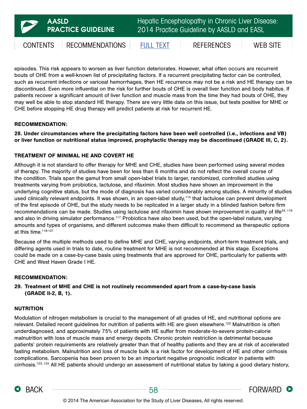Hepatic Encephalopathy in Chronic Liver Disease: 2014 Practice Guideline by AASLD and EASL

#### <span id="page-57-0"></span>[CONTENTS](#page-1-0) [RECOMMENDATIONS](#page-2-0) [FULL TEXT](#page-39-0) [REFERENCES](#page-66-0) [WEB SITE](http://aasld.org/practiceguidelines/Pages/guidelinelisting.aspx) **FULL TEXT**

episodes. This risk appears to worsen as liver function deteriorates. However, what often occurs are recurrent bouts of OHE from a well-known list of precipitating factors. If a recurrent precipitating factor can be controlled, such as recurrent infections or variceal hemorrhages, then HE recurrence may not be a risk and HE therapy can be discontinued. Even more influential on the risk for further bouts of OHE is overall liver function and body habitus. If patients recover a significant amount of liver function and muscle mass from the time they had bouts of OHE, they may well be able to stop standard HE therapy. There are very little data on this issue, but tests positive for MHE or CHE before stopping HE drug therapy will predict patients at risk for recurrent HE.

## RECOMMENDATION:

28. Under circumstances where the precipitating factors have been well controlled (i.e., infections and VB) or liver function or nutritional status improved, prophylactic therapy may be discontinued (GRADE III, C, 2).

## TREATMENT OF MINIMAL HE AND COVERT HE

Although it is not standard to offer therapy for MHE and CHE, studies have been performed using several modes of therapy. The majority of studies have been for less than 6 months and do not reflect the overall course of the condition. Trials span the gamut from small open-label trials to larger, randomized, controlled studies using treatments varying from probiotics, lactulose, and rifaximin. Most studies have shown an improvement in the underlying cognitive status, but the mode of diagnosis has varied considerably among studies. A minority of studies used clinically relevant endpoints. It was shown, in an open-label study,<sup>115</sup> that lactulose can prevent development of the first episode of OHE, but the study needs to be replicated in a larger study in a blinded fashion before firm recommendations can be made. Studies using lactulose and rifaximin have shown improvement in quality of life<sup>34, 116</sup> and also in driving simulator performance.<sup>117</sup> Probiotics have also been used, but the open-label nature, varying amounts and types of organisms, and different outcomes make them difficult to recommend as therapeutic options at this time. $118-121$ 

Because of the multiple methods used to define MHE and CHE, varying endpoints, short-term treatment trials, and differing agents used in trials to date, routine treatment for MHE is not recommended at this stage. Exceptions could be made on a case-by-case basis using treatments that are approved for OHE, particularly for patients with CHE and West Haven Grade I HE.

### RECOMMENDATION:

# 29. Treatment of MHE and CHE is not routinely recommended apart from a case-by-case basis (GRADE II-2, B, 1).

### NUTRITION

Modulation of nitrogen metabolism is crucial to the management of all grades of HE, and nutritional options are relevant. Detailed recent guidelines for nutrition of patients with HE are given elsewhere.<sup>122</sup> Malnutrition is often underdiagnosed, and approximately 75% of patients with HE suffer from moderate-to-severe protein-calorie malnutrition with loss of muscle mass and energy depots. Chronic protein restriction is detrimental because patients' protein requirements are relatively greater than that of healthy patients and they are at risk of accelerated fasting metabolism. Malnutrition and loss of muscle bulk is a risk factor for development of HE and other cirrhosis complications. Sarcopenia has been proven to be an important negative prognostic indicator in patients with cirrhosis.<sup>123, 124</sup> All HE patients should undergo an assessment of nutritional status by taking a good dietary history,



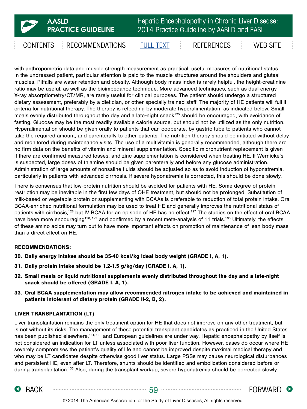Hepatic Encephalopathy in Chronic Liver Disease: 2014 Practice Guideline by AASLD and EASL

#### <span id="page-58-0"></span>[CONTENTS](#page-1-0) [RECOMMENDATIONS](#page-2-0) [FULL TEXT](#page-39-0) [REFERENCES](#page-66-0) [WEB SITE](http://aasld.org/practiceguidelines/Pages/guidelinelisting.aspx) **FULL TEXT**

with anthropometric data and muscle strength measurement as practical, useful measures of nutritional status. In the undressed patient, particular attention is paid to the muscle structures around the shoulders and gluteal muscles. Pitfalls are water retention and obesity. Although body mass index is rarely helpful, the height-creatinine ratio may be useful, as well as the bioimpedance technique. More advanced techniques, such as dual-energy X-ray absorptiometry/CT/MR, are rarely useful for clinical purposes. The patient should undergo a structured dietary assessment, preferably by a dietician, or other specially trained staff. The majority of HE patients will fulfill criteria for nutritional therapy. The therapy is refeeding by moderate hyperalimentation, as indicated below. Small meals evenly distributed throughout the day and a late-night snack<sup>125</sup> should be encouraged, with avoidance of fasting. Glucose may be the most readily available calorie source, but should not be utilized as the only nutrition. Hyperalimentation should be given orally to patients that can cooperate, by gastric tube to patients who cannot take the required amount, and parenterally to other patients. The nutrition therapy should be initiated without delay and monitored during maintenance visits. The use of a multivitamin is generally recommended, although there are no firm data on the benefits of vitamin and mineral supplementation. Specific micronutrient replacement is given if there are confirmed measured losses, and zinc supplementation is considered when treating HE. If Wernicke's is suspected, large doses of thiamine should be given parenterally and before any glucose administration. Administration of large amounts of nonsaline fluids should be adjusted so as to avoid induction of hyponatremia, particularly in patients with advanced cirrhosis. If severe hyponatremia is corrected, this should be done slowly.

There is consensus that low-protein nutrition should be avoided for patients with HE. Some degree of protein restriction may be inevitable in the first few days of OHE treatment, but should not be prolonged. Substitution of milk-based or vegetable protein or supplementing with BCAAs is preferable to reduction of total protein intake. Oral BCAA-enriched nutritional formulation may be used to treat HE and generally improves the nutritional status of patients with cirrhosis,<sup>126</sup> but IV BCAA for an episode of HE has no effect.<sup>127</sup> The studies on the effect of oral BCAA have been more encouraging<sup>128, 129</sup> and confirmed by a recent meta-analysis of 11 trials.<sup>130</sup> Ultimately, the effects of these amino acids may turn out to have more important effects on promotion of maintenance of lean body mass than a direct effect on HE.

# RECOMMENDATIONS:

- 30. Daily energy intakes should be 35-40 kcal/kg ideal body weight (GRADE I, A, 1).
- 31. Daily protein intake should be 1.2-1.5 g/kg/day (GRADE I, A, 1).
- 32. Small meals or liquid nutritional supplements evenly distributed throughout the day and a late-night snack should be offered (GRADE I, A, 1).
- 33. Oral BCAA supplementation may allow recommended nitrogen intake to be achieved and maintained in patients intolerant of dietary protein (GRADE II-2, B, 2).

# LIVER TRANSPLANTATION (LT)

Liver transplantation remains the only treatment option for HE that does not improve on any other treatment, but is not without its risks. The management of these potential transplant candidates as practiced in the United States has been published elsewhere,<sup>131, 132</sup> and European guidelines are under way. Hepatic encephalopathy by itself is not considered an indication for LT unless associated with poor liver function. However, cases do occur where HE severely compromises the patient's quality of life and cannot be improved despite maximal medical therapy and who may be LT candidates despite otherwise good liver status. Large PSSs may cause neurological disturbances and persistent HE, even after LT. Therefore, shunts should be identified and embolization considered before or during transplantation.<sup>133</sup> Also, during the transplant workup, severe hyponatremia should be corrected slowly.



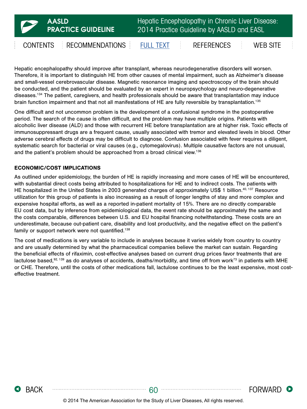Hepatic Encephalopathy in Chronic Liver Disease: 2014 Practice Guideline by AASLD and EASL

#### <span id="page-59-0"></span>[CONTENTS](#page-1-0) [RECOMMENDATIONS](#page-2-0) [FULL TEXT](#page-39-0) [REFERENCES](#page-66-0) [WEB SITE](http://aasld.org/practiceguidelines/Pages/guidelinelisting.aspx) **FULL TEXT**

Hepatic encephalopathy should improve after transplant, whereas neurodegenerative disorders will worsen. Therefore, it is important to distinguish HE from other causes of mental impairment, such as Alzheimer's disease and small-vessel cerebrovascular disease. Magnetic resonance imaging and spectroscopy of the brain should be conducted, and the patient should be evaluated by an expert in neuropsychology and neuro-degenerative diseases.134 The patient, caregivers, and health professionals should be aware that transplantation may induce brain function impairment and that not all manifestations of HE are fully reversible by transplantation.<sup>135</sup>

One difficult and not uncommon problem is the development of a confusional syndrome in the postoperative period. The search of the cause is often difficult, and the problem may have multiple origins. Patients with alcoholic liver disease (ALD) and those with recurrent HE before transplantation are at higher risk. Toxic effects of immunosuppressant drugs are a frequent cause, usually associated with tremor and elevated levels in blood. Other adverse cerebral effects of drugs may be difficult to diagnose. Confusion associated with fever requires a diligent, systematic search for bacterial or viral causes (e.g., cytomegalovirus). Multiple causative factors are not unusual, and the patient's problem should be approached from a broad clinical view.<sup>136</sup>

## ECONOMIC/COST IMPLICATIONS

As outlined under epidemiology, the burden of HE is rapidly increasing and more cases of HE will be encountered, with substantial direct costs being attributed to hospitalizations for HE and to indirect costs. The patients with HE hospitalized in the United States in 2003 generated charges of approximately US\$ 1 billion.<sup>40, 137</sup> Resource utilization for this group of patients is also increasing as a result of longer lengths of stay and more complex and expensive hospital efforts, as well as a reported in-patient mortality of 15%. There are no directly comparable EU cost data, but by inference from epidemiological data, the event rate should be approximately the same and the costs comparable, differences between U.S. and EU hospital financing notwithstanding. These costs are an underestimate, because out-patient care, disability and lost productivity, and the negative effect on the patient's family or support network were not quantified.<sup>138</sup>

The cost of medications is very variable to include in analyses because it varies widely from country to country and are usually determined by what the pharmaceutical companies believe the market can sustain. Regarding the beneficial effects of rifaximin, cost-effective analyses based on current drug prices favor treatments that are lactulose based,<sup>92, 139</sup> as do analyses of accidents, deaths/morbidity, and time off from work<sup>73</sup> in patients with MHE or CHE. Therefore, until the costs of other medications fall, lactulose continues to be the least expensive, most costeffective treatment.

[BACK](#page-58-0) [FORWARD](#page-60-0)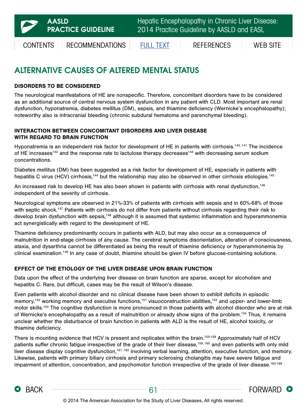<span id="page-60-0"></span>[CONTENTS](#page-1-0) [RECOMMENDATIONS](#page-2-0) [FULL TEXT](#page-39-0) [REFERENCES](#page-66-0) [WEB SITE](http://aasld.org/practiceguidelines/Pages/guidelinelisting.aspx) **FULL TEXT** 

# ALTERNATIVE CAUSES OF ALTERED MENTAL STATUS

# DISORDERS TO BE CONSIDERED

The neurological manifestations of HE are nonspecific. Therefore, concomitant disorders have to be considered as an additional source of central nervous system dysfunction in any patient with CLD. Most important are renal dysfunction, hyponatremia, diabetes mellitus (DM), sepsis, and thiamine deficiency (Wernicke's encephalopathy); noteworthy also is intracranial bleeding (chronic subdural hematoma and parenchymal bleeding).

# INTERACTION BETWEEN CONCOMITANT DISORDERS AND LIVER DISEASE WITH REGARD TO BRAIN FUNCTION

Hyponatremia is an independent risk factor for development of HE in patients with cirrhosis.<sup>140, 141</sup> The incidence of HE increases<sup>142</sup> and the response rate to lactulose therapy decreases<sup>143</sup> with decreasing serum sodium concentrations.

Diabetes mellitus (DM) has been suggested as a risk factor for development of HE, especially in patients with hepatitis C virus (HCV) cirrhosis,<sup>144</sup> but the relationship may also be observed in other cirrhosis etiologies.<sup>145</sup>

An increased risk to develop HE has also been shown in patients with cirrhosis with renal dysfunction,<sup>146</sup> independent of the severity of cirrhosis.

Neurological symptoms are observed in 21%-33% of patients with cirrhosis with sepsis and in 60%-68% of those with septic shock.<sup>147</sup> Patients with cirrhosis do not differ from patients without cirrhosis regarding their risk to develop brain dysfunction with sepsis,<sup>148</sup> although it is assumed that systemic inflammation and hyperammonemia act synergistically with regard to the development of HE.

Thiamine deficiency predominantly occurs in patients with ALD, but may also occur as a consequence of malnutrition in end-stage cirrhosis of any cause. The cerebral symptoms disorientation, alteration of consciousness, ataxia, and dysarthria cannot be differentiated as being the result of thiamine deficiency or hyperammonemia by clinical examination.149 In any case of doubt, thiamine should be given IV before glucose-containing solutions.

# EFFECT OF THE ETIOLOGY OF THE LIVER DISEASE UPON BRAIN FUNCTION

Data upon the effect of the underlying liver disease on brain function are sparse, except for alcoholism and hepatitis C. Rare, but difficult, cases may be the result of Wilson's disease.

Even patients with alcohol disorder and no clinical disease have been shown to exhibit deficits in episodic memory,<sup>150</sup> working memory and executive functions,<sup>151</sup> visuoconstruction abilities,<sup>152</sup> and upper- and lower-limb motor skills.<sup>153</sup> The cognitive dysfunction is more pronounced in those patients with alcohol disorder who are at risk of Wernicke's encephalopathy as a result of malnutrition or already show signs of the problem.154 Thus, it remains unclear whether the disturbance of brain function in patients with ALD is the result of HE, alcohol toxicity, or thiamine deficiency.

There is mounting evidence that HCV is present and replicates within the brain.<sup>155-158</sup> Approximately half of HCV patients suffer chronic fatigue irrespective of the grade of their liver disease,<sup>159, 160</sup> and even patients with only mild liver disease display cognitive dysfunction,<sup>161, 162</sup> involving verbal learning, attention, executive function, and memory. Likewise, patients with primary biliary cirrhosis and primary sclerosing cholangitis may have severe fatigue and impairment of attention, concentration, and psychomotor function irrespective of the grade of liver disease.<sup>163-168</sup>



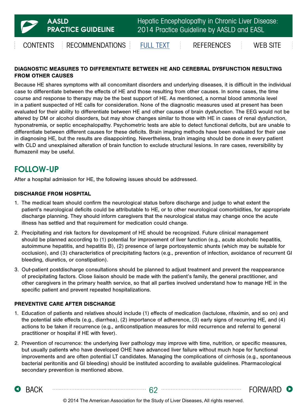<span id="page-61-0"></span>[CONTENTS](#page-1-0) [RECOMMENDATIONS](#page-2-0) [FULL TEXT](#page-39-0) [REFERENCES](#page-66-0) [WEB SITE](http://aasld.org/practiceguidelines/Pages/guidelinelisting.aspx) **FULL TEXT** 

# DIAGNOSTIC MEASURES TO DIFFERENTIATE BETWEEN HE AND CEREBRAL DYSFUNCTION RESULTING FROM OTHER CAUSES

Because HE shares symptoms with all concomitant disorders and underlying diseases, it is difficult in the individual case to differentiate between the effects of HE and those resulting from other causes. In some cases, the time course and response to therapy may be the best support of HE. As mentioned, a normal blood ammonia level in a patient suspected of HE calls for consideration. None of the diagnostic measures used at present has been evaluated for their ability to differentiate between HE and other causes of brain dysfunction. The EEG would not be altered by DM or alcohol disorders, but may show changes similar to those with HE in cases of renal dysfunction, hyponatremia, or septic encephalopathy. Psychometric tests are able to detect functional deficits, but are unable to differentiate between different causes for these deficits. Brain imaging methods have been evaluated for their use in diagnosing HE, but the results are disappointing. Nevertheless, brain imaging should be done in every patient with CLD and unexplained alteration of brain function to exclude structural lesions. In rare cases, reversibility by flumazenil may be useful.

# FOLLOW-UP

After a hospital admission for HE, the following issues should be addressed.

# DISCHARGE FROM HOSPITAL

- 1. The medical team should confirm the neurological status before discharge and judge to what extent the patient's neurological deficits could be attributable to HE, or to other neurological comorbidities, for appropriate discharge planning. They should inform caregivers that the neurological status may change once the acute illness has settled and that requirement for medication could change.
- 2. Precipitating and risk factors for development of HE should be recognized. Future clinical management should be planned according to (1) potential for improvement of liver function (e.g., acute alcoholic hepatitis, autoimmune hepatitis, and hepatitis B), (2) presence of large portosystemic shunts (which may be suitable for occlusion), and (3) characteristics of precipitating factors (e.g., prevention of infection, avoidance of recurrent GI bleeding, diuretics, or constipation).
- 3. Out-patient postdischarge consultations should be planned to adjust treatment and prevent the reappearance of precipitating factors. Close liaison should be made with the patient's family, the general practitioner, and other caregivers in the primary health service, so that all parties involved understand how to manage HE in the specific patient and prevent repeated hospitalizations.

# PREVENTIVE CARE AFTER DISCHARGE

- 1. Education of patients and relatives should include (1) effects of medication (lactulose, rifaximin, and so on) and the potential side effects (e.g., diarrhea), (2) importance of adherence, (3) early signs of recurring HE, and (4) actions to be taken if recurrence (e.g., anticonstipation measures for mild recurrence and referral to general practitioner or hospital if HE with fever).
- 2. Prevention of recurrence: the underlying liver pathology may improve with time, nutrition, or specific measures, but usually patients who have developed OHE have advanced liver failure without much hope for functional improvements and are often potential LT candidates. Managing the complications of cirrhosis (e.g., spontaneous bacterial peritonitis and GI bleeding) should be instituted according to available guidelines. Pharmacological secondary prevention is mentioned above.

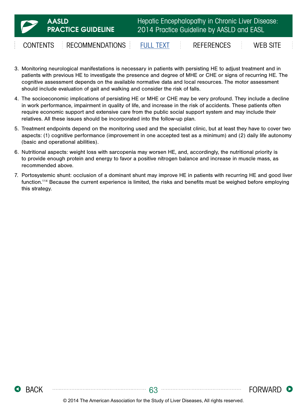Hepatic Encephalopathy in Chronic Liver Disease: 2014 Practice Guideline by AASLD and EASL

#### <span id="page-62-0"></span>[CONTENTS](#page-1-0) [RECOMMENDATIONS](#page-2-0) [FULL TEXT](#page-39-0) [REFERENCES](#page-66-0) [WEB SITE](http://aasld.org/practiceguidelines/Pages/guidelinelisting.aspx) **FULL TEXT**

- 3. Monitoring neurological manifestations is necessary in patients with persisting HE to adjust treatment and in patients with previous HE to investigate the presence and degree of MHE or CHE or signs of recurring HE. The cognitive assessment depends on the available normative data and local resources. The motor assessment should include evaluation of gait and walking and consider the risk of falls.
- 4. The socioeconomic implications of persisting HE or MHE or CHE may be very profound. They include a decline in work performance, impairment in quality of life, and increase in the risk of accidents. These patients often require economic support and extensive care from the public social support system and may include their relatives. All these issues should be incorporated into the follow-up plan.
- 5. Treatment endpoints depend on the monitoring used and the specialist clinic, but at least they have to cover two aspects: (1) cognitive performance (improvement in one accepted test as a minimum) and (2) daily life autonomy (basic and operational abilities).
- 6. Nutritional aspects: weight loss with sarcopenia may worsen HE, and, accordingly, the nutritional priority is to provide enough protein and energy to favor a positive nitrogen balance and increase in muscle mass, as recommended above.
- 7. Portosystemic shunt: occlusion of a dominant shunt may improve HE in patients with recurring HE and good liver function.<sup>114</sup> Because the current experience is limited, the risks and benefits must be weighed before employing this strategy.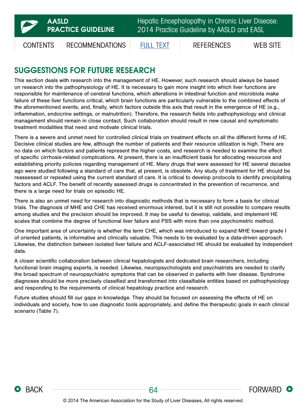<span id="page-63-0"></span>[CONTENTS](#page-1-0) [RECOMMENDATIONS](#page-2-0) [FULL TEXT](#page-39-0) [REFERENCES](#page-66-0) [WEB SITE](http://aasld.org/practiceguidelines/Pages/guidelinelisting.aspx)

**FULL TEXT** 

# SUGGESTIONS FOR FUTURE RESEARCH

This section deals with research into the management of HE. However, such research should always be based on research into the pathophysiology of HE. It is necessary to gain more insight into which liver functions are responsible for maintenance of cerebral functions, which alterations in intestinal function and microbiota make failure of these liver functions critical, which brain functions are particularly vulnerable to the combined effects of the aforementioned events, and, finally, which factors outside this axis that result in the emergence of HE (e.g., inflammation, endocrine settings, or malnutrition). Therefore, the research fields into pathophysiology and clinical management should remain in close contact. Such collaboration should result in new causal and symptomatic treatment modalities that need and motivate clinical trials.

There is a severe and unmet need for controlled clinical trials on treatment effects on all the different forms of HE. Decisive clinical studies are few, although the number of patients and their resource utilization is high. There are no data on which factors and patients represent the higher costs, and research is needed to examine the effect of specific cirrhosis-related complications. At present, there is an insufficient basis for allocating resources and establishing priority policies regarding management of HE. Many drugs that were assessed for HE several decades ago were studied following a standard of care that, at present, is obsolete. Any study of treatment for HE should be reassessed or repeated using the current standard of care. It is critical to develop protocols to identify precipitating factors and ACLF. The benefit of recently assessed drugs is concentrated in the prevention of recurrence, and there is a large need for trials on episodic HE.

There is also an unmet need for research into diagnostic methods that is necessary to form a basis for clinical trials. The diagnosis of MHE and CHE has received enormous interest, but it is still not possible to compare results among studies and the precision should be improved. It may be useful to develop, validate, and implement HE scales that combine the degree of functional liver failure and PSS with more than one psychometric method.

One important area of uncertainty is whether the term CHE, which was introduced to expand MHE toward grade I of oriented patients, is informative and clinically valuable. This needs to be evaluated by a data-driven approach. Likewise, the distinction between isolated liver failure and ACLF-associated HE should be evaluated by independent data.

A closer scientific collaboration between clinical hepatologists and dedicated brain researchers, including functional brain imaging experts, is needed. Likewise, neuropsychologists and psychiatrists are needed to clarify the broad spectrum of neuropsychiatric symptoms that can be observed in patients with liver disease. Syndrome diagnoses should be more precisely classified and transformed into classifiable entities based on pathophysiology and responding to the requirements of clinical hepatology practice and research.

Future studies should fill our gaps in knowledge. They should be focused on assessing the effects of HE on individuals and society, how to use diagnostic tools appropriately, and define the therapeutic goals in each clinical scenario (Table 7).

C [BACK](#page-62-0) **EXECUTE:** 64 64 64 [FORWARD](#page-64-0) C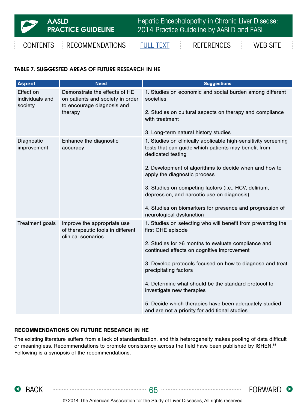Hepatic Encephalopathy in Chronic Liver Disease: 2014 Practice Guideline by AASLD and EASL

<span id="page-64-0"></span>[CONTENTS](#page-1-0) [RECOMMENDATIONS](#page-2-0) [FULL TEXT](#page-39-0) [REFERENCES](#page-66-0) [WEB SITE](http://aasld.org/practiceguidelines/Pages/guidelinelisting.aspx) **FULL TEXT** 

# TABLE 7. SUGGESTED AREAS OF FUTURE RESEARCH IN HE

| <b>Aspect</b>                           | <b>Need</b>                                                                                                | <b>Suggestions</b>                                                                                                                                                                                                                                                                                                                                                                                                                                                           |
|-----------------------------------------|------------------------------------------------------------------------------------------------------------|------------------------------------------------------------------------------------------------------------------------------------------------------------------------------------------------------------------------------------------------------------------------------------------------------------------------------------------------------------------------------------------------------------------------------------------------------------------------------|
| Effect on<br>individuals and<br>society | Demonstrate the effects of HE<br>on patients and society in order<br>to encourage diagnosis and<br>therapy | 1. Studies on economic and social burden among different<br>societies<br>2. Studies on cultural aspects on therapy and compliance<br>with treatment<br>3. Long-term natural history studies                                                                                                                                                                                                                                                                                  |
| Diagnostic<br>improvement               | Enhance the diagnostic<br>accuracy                                                                         | 1. Studies on clinically applicable high-sensitivity screening<br>tests that can guide which patients may benefit from<br>dedicated testing<br>2. Development of algorithms to decide when and how to<br>apply the diagnostic process<br>3. Studies on competing factors (i.e., HCV, delirium,<br>depression, and narcotic use on diagnosis)<br>4. Studies on biomarkers for presence and progression of<br>neurological dysfunction                                         |
| <b>Treatment goals</b>                  | Improve the appropriate use<br>of therapeutic tools in different<br>clinical scenarios                     | 1. Studies on selecting who will benefit from preventing the<br>first OHE episode<br>2. Studies for >6 months to evaluate compliance and<br>continued effects on cognitive improvement<br>3. Develop protocols focused on how to diagnose and treat<br>precipitating factors<br>4. Determine what should be the standard protocol to<br>investigate new therapies<br>5. Decide which therapies have been adequately studied<br>and are not a priority for additional studies |

# RECOMMENDATIONS ON FUTURE RESEARCH IN HE

The existing literature suffers from a lack of standardization, and this heterogeneity makes pooling of data difficult or meaningless. Recommendations to promote consistency across the field have been published by ISHEN.<sup>66</sup> Following is a synopsis of the recommendations.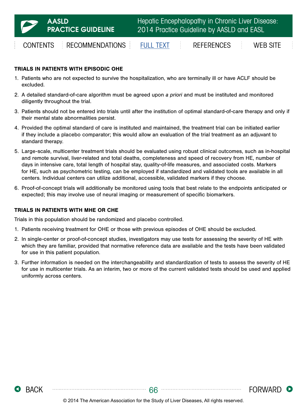<span id="page-65-0"></span>[CONTENTS](#page-1-0) [RECOMMENDATIONS](#page-2-0) [FULL TEXT](#page-39-0) [REFERENCES](#page-66-0) [WEB SITE](http://aasld.org/practiceguidelines/Pages/guidelinelisting.aspx) **FULL TEXT** 

# TRIALS IN PATIENTS WITH EPISODIC OHE

- 1. Patients who are not expected to survive the hospitalization, who are terminally ill or have ACLF should be excluded.
- 2. A detailed standard-of-care algorithm must be agreed upon *a priori* and must be instituted and monitored diligently throughout the trial.
- 3. Patients should not be entered into trials until after the institution of optimal standard-of-care therapy and only if their mental state abnormalities persist.
- 4. Provided the optimal standard of care is instituted and maintained, the treatment trial can be initiated earlier if they include a placebo comparator; this would allow an evaluation of the trial treatment as an adjuvant to standard therapy.
- 5. Large-scale, multicenter treatment trials should be evaluated using robust clinical outcomes, such as in-hospital and remote survival, liver-related and total deaths, completeness and speed of recovery from HE, number of days in intensive care, total length of hospital stay, quality-of-life measures, and associated costs. Markers for HE, such as psychometric testing, can be employed if standardized and validated tools are available in all centers. Individual centers can utilize additional, accessible, validated markers if they choose.
- 6. Proof-of-concept trials will additionally be monitored using tools that best relate to the endpoints anticipated or expected; this may involve use of neural imaging or measurement of specific biomarkers.

# TRIALS IN PATIENTS WITH MHE OR CHE

Trials in this population should be randomized and placebo controlled.

- 1. Patients receiving treatment for OHE or those with previous episodes of OHE should be excluded.
- 2. In single-center or proof-of-concept studies, investigators may use tests for assessing the severity of HE with which they are familiar, provided that normative reference data are available and the tests have been validated for use in this patient population.
- 3. Further information is needed on the interchangeability and standardization of tests to assess the severity of HE for use in multicenter trials. As an interim, two or more of the current validated tests should be used and applied uniformly across centers.

[BACK](#page-64-0) [FORWARD](#page-66-0)

© 2014 The American Association for the Study of Liver Diseases, All rights reserved.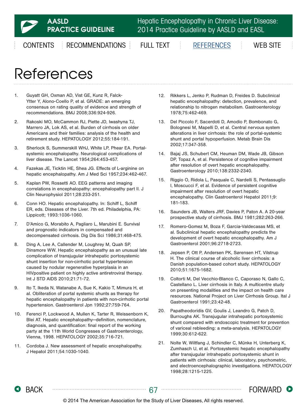Hepatic Encephalopathy in Chronic Liver Disease: 2014 Practice Guideline by AASLD and EASL

<span id="page-66-0"></span>

[CONTENTS](#page-1-0) [RECOMMENDATIONS](#page-2-0) [FULL TEXT](#page-39-0) REFERENCES [WEB SITE](http://aasld.org/practiceguidelines/Pages/guidelinelisting.aspx)

# References

- 1. Guyatt GH, Oxman AD, Vist GE, Kunz R, Falck-Ytter Y, Alono-Coello P, et al. GRADE: an emerging consensus on rating quality of evidence and strength of recommendations. BMJ 2008;336:924-926.
- 2. Rakoski MO, McCammon RJ, Piette JD, Iwashyna TJ, Marrero JA, Lok AS, et al. Burden of cirrhosis on older Americans and their families: analysis of the health and retirement study. HEPATOLOGY 2012;55:184-191.
- 3. Sherlock S, Summerskill WHJ, White LP, Phear EA. Portalsystemic encephalopathy. Neurological complications of liver disease. The Lancet 1954;264:453-457.
- 4. Fazekas JE, Ticktin HE, Shea JG. Effects of L-arginine on hepatic encephalopathy. Am J Med Sci 1957;234:462-467.
- 5. Kaplan PW, Rossetti AO. EEG patterns and imaging correlations in encephalopathy: encephalopathy part II. J Clin Neurophysiol 2011;28:233-251.
- 6. Conn HO. Hepatic encephalopathy. In: Schiff L, Schiff ER, eds. Diseases of the Liver. 7th ed. Philadelphia, PA: Lippicott; 1993:1036-1060.
- 7. D'Amico G, Morabito A, Pagliaro L, Marubini E. Survival and prognostic indicators in compensated and decompensated cirrhosis. Dig Dis Sci 1986;31:468-475.
- 8. Ding A, Lee A, Callender M, Loughrey M, Quah SP, Dinsmore WW. Hepatic encephalopathy as an unusual late complication of transjugular intrahepatic portosystemic shunt insertion for non-cirrhotic portal hypertension caused by nodular regenerative hyperplasia in an HIVpositive patient on highly active antiretroviral therapy. Int J STD AIDS 2010;21:71-72.
- 9. Ito T, Ikeda N, Watanabe A, Sue K, Kakio T, Mimura H, et al. Obliteration of portal systemic shunts as therapy for hepatic encephalopathy in patients with non-cirrhotic portal hypertension. Gastroenterol Jpn 1992;27:759-764.
- 10. Ferenci P, Lockwood A, Mullen K, Tarter R, Weissenborn K, Blei AT. Hepatic encephalopathy—definition, nomenclature, diagnosis, and quantification: final report of the working party at the 11th World Congresses of Gastroenterology, Vienna, 1998. HEPATOLOGY 2002;35:716-721.
- 11. Cordoba J. New assessment of hepatic encephalopathy. J Hepatol 2011;54:1030-1040.
- 12. Rikkers L, Jenko P, Rudman D, Freides D. Subclinical hepatic encephalopathy: detection, prevalence, and relationship to nitrogen metabolism. Gastroenterology 1978;75:462-469.
- 13. Del Piccolo F, Sacerdoti D, Amodio P, Bombonato G, Bolognesi M, Mapelli D, et al. Central nervous system alterations in liver cirrhosis: the role of portal-systemic shunt and portal hypoperfusion. Metab Brain Dis 2002;17:347-358.
- 14. Bajaj JS, Schubert CM, Heuman DM, Wade JB, Gibson DP, Topaz A, et al. Persistence of cognitive impairment after resolution of overt hepatic encephalopathy. Gastroenterology 2010;138:2332-2340.
- 15. Riggio O, Ridola L, Pasquale C, Nardelli S, Pentassuglio I, Moscucci F, et al. Evidence of persistent cognitive impairment after resolution of overt hepatic encephalopathy. Clin Gastroenterol Hepatol 2011;9: 181-183.
- 16. Saunders JB, Walters JRF, Davies P, Paton A. A 20-year prospective study of cirrhosis. BMJ 1981;282:263-266.
- 17. Romero-Gomez M, Boza F, Garcia-Valdecasas MS, et al. Subclinical hepatic encephalopathy predicts the development of overt hepatic encephalopathy. Am J Gastroenterol 2001;96:2718-2723.
- 18. Jepsen P, Ott P, Andersen PK, Sørensen HT, Vilstrup H. The clinical course of alcoholic liver cirrhosis: a Danish population-based cohort study. HEPATOLOGY 2010;51:1675-1682.
- 19. Coltorti M, Del Vecchio-Blanco C, Caporaso N, Gallo C, Castellano L. Liver cirrhosis in Italy. A multicentre study on presenting modalities and the impact on health care resources. National Project on Liver Cirrhosis Group. Ital J Gastroenterol 1991;23:42-48.
- 20. Papatheodoridis GV, Goulis J, Leandro G, Patch D, Burroughs AK. Transjugular intrahepatic portosystemic shunt compared with endoscopic treatment for prevention of variceal rebleeding: a meta-analysis. HEPATOLOGY 1999;30:612-622.
- 21. Nolte W, Wiltfang J, Schindler C, Műnke H, Unterberg K, Zumhasch U, et al. Portosystemic hepatic encephalopathy after transjugular intrahepatic portosystemic shunt in patients with cirrhosis: clinical, laboratory, psychometric, and electroencephalographic investigations. HEPATOLOGY 1998;28:1215-1225.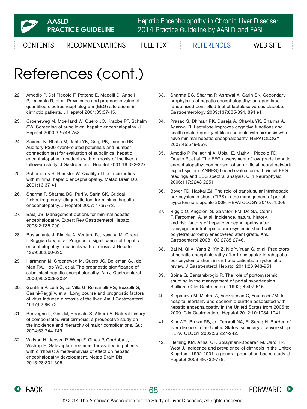Hepatic Encephalopathy in Chronic Liver Disease: 2014 Practice Guideline by AASLD and EASL

<span id="page-67-0"></span>

[CONTENTS](#page-1-0) [RECOMMENDATIONS](#page-2-0) [FULL TEXT](#page-39-0) [REFERENCES](#page-66-0) [WEB SITE](http://aasld.org/practiceguidelines/Pages/guidelinelisting.aspx)

# References (cont.)

- 22. Amodio P, Del Piccolo F, Pettenò E, Mapelli D, Angeli P, Iemmolo R, et al. Prevalence and prognostic value of quantified electroencephalogram (EEG) alterations in cirrhotic patients. J Hepatol 2001;35:37-45.
- 23. Groeneweg M, Moerland W, Quero JC, Krabbe PF, Schalm SW. Screening of subclinical hepatic encephalopathy. J Hepatol 2000;32:748-753.
- 24. Saxena N, Bhatia M, Joshi YK, Garg PK, Tandon RK. Auditory P300 event-related potentials and number connection test for evaluation of subclinical hepatic encephalopathy in patients with cirrhosis of the liver: a follow-up study. J Gastroenterol Hepatol 2001;16:322-327.
- 25. Schomerus H, Hamster W. Quality of life in cirrhotics with minimal hepatic encephalopathy. Metab Brain Dis 2001;16:37-41.
- 26. Sharma P, Sharma BC, Puri V, Sarin SK. Critical flicker frequency: diagnostic tool for minimal hepatic encephalopathy. J Hepatol 2007; 47:67-73.
- 27. Bajaj JS. Management options for minimal hepatic encephalopathy. Expert Rev Gastroenterol Hepatol 2008;2:785-790.
- 28. Bustamante J, Rimola A, Ventura PJ, Navasa M, Cirera I, Reggiardo V, et al. Prognostic significance of hepatic encephalopathy in patients with cirrhosis. J Hepatol 1999;30:890-895.
- 29. Hartmann IJ, Groeneweg M, Quero JC, Beijeman SJ, de Man RA, Hop WC, et al. The prognostic significance of subclinical hepatic encephalopathy. Am J Gastroenterol 2000;95:2029-2034.
- 30. Gentilini P, Laffi G, La Villa G, Romanelli RG, Buzzelli G, Casini-Raggi V, et al. Long course and prognostic factors of virus-induced cirrhosis of the liver. Am J Gastroenterol 1997;92:66-72.
- 31. Benvegnu L, Gios M, Boccato S, Alberti A. Natural history of compensated viral cirrhosis: a prospective study on the incidence and hierarchy of major complications. Gut 2004;53:744-749.
- 32. Watson H, Jepsen P, Wong F, Gines P, Cordoba J, Vilstrup H. Satavaptan treatment for ascites in patients with cirrhosis: a meta-analysis of effect on hepatic encephalopathy development. Metab Brain Dis 2013;28:301-305.
- 33. Sharma BC, Sharma P, Agrawal A, Sarin SK. Secondary prophylaxis of hepatic encephalopathy: an open-label randomized controlled trial of lactulose versus placebo. Gastroenterology 2009;137:885-891, 891.e1.
- 34. Prasad S, Dhiman RK, Duseja A, Chawla YK, Sharma A, Agarwal R. Lactulose improves cognitive functions and health-related quality of life in patients with cirrhosis who have minimal hepatic encephalopathy. HEPATOLOGY 2007;45:549-559.
- 35. Amodio P, Pellegrini A, Ubiali E, Mathy I, Piccolo FD, Orsato R, et al. The EEG assessment of low-grade hepatic encephalopathy: comparison of an artificial neural networkexpert system (ANNES) based evaluation with visual EEG readings and EEG spectral analysis. Clin Neurophysiol 2006;117:2243-2251.
- 36. Boyer TD, Haskal ZJ. The role of transjugular intrahepatic portosystemic shunt (TIPS) in the management of portal hypertension: update 2009. HEPATOLOGY 2010;51:306.
- 37. Riggio O, Angeloni S, Salvatori FM, De SA, Cerini F, Farcomeni A, et al. Incidence, natural history, and risk factors of hepatic encephalopathy after transjugular intrahepatic portosystemic shunt with polytetrafluoroethylenecovered stent grafts. AmJ Gastroenterol 2008;103:2738-2746.
- 38. Bai M, Qi X, Yang Z, Yin Z, Nie Y, Yuan S, et al. Predictors of hepatic encephalopathy after transjugular intrahepatic portosystemic shunt in cirrhotic patients: a systematic review. J Gastroenterol Hepatol 2011;26:943-951.
- 39. Spina G, Santambrogio R. The role of portosystemic shunting in the management of portal hypertension. Baillieres Clin Gastroenterol 1992; 6:497-515.
- 40. Stepanova M, Mishra A, Venkatesan C, Younossi ZM. Inhospital mortality and economic burden associated with hepatic encephalopathy in the United States from 2005 to 2009. Clin Gastroenterol Hepatol 2012;10:1034-1041.
- 41. Kim WR, Brown RS, Jr., Terrault NA, El-Serag H. Burden of liver disease in the United States: summary of a workshop. HEPATOLOGY 2002;36:227-242.
- 42. Fleming KM, Aithal GP, Solaymani-Dodaran M, Card TR, West J. Incidence and prevalence of cirrhosis in the United Kingdom, 1992-2001: a general population-based study. J Hepatol 2008;49:732-738.

[BACK](#page-66-0) [FORWARD](#page-68-0)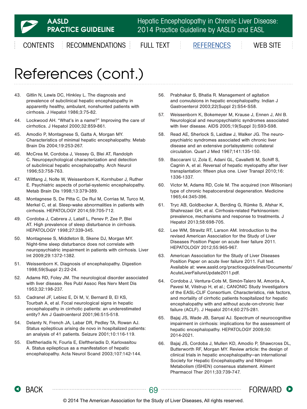Hepatic Encephalopathy in Chronic Liver Disease: 2014 Practice Guideline by AASLD and EASL

<span id="page-68-0"></span>

[CONTENTS](#page-1-0) [RECOMMENDATIONS](#page-2-0) [FULL TEXT](#page-39-0) [REFERENCES](#page-66-0) [WEB SITE](http://aasld.org/practiceguidelines/Pages/guidelinelisting.aspx)

# References (cont.)

- 43. Gitlin N, Lewis DC, Hinkley L. The diagnosis and prevalence of subclinical hepatic encephalopathy in apparently healthy, ambulant, nonshunted patients with cirrhosis. J Hepatol 1986;3:75-82.
- 44. Lockwood AH. "What's in a name?" Improving the care of cirrhotics. J Hepatol 2000;32:859-861.
- 45. Amodio P, Montagnese S, Gatta A, Morgan MY. Characteristics of minimal hepatic encephalopathy. Metab Brain Dis 2004;19:253-267.
- 46. McCrea M, Cordoba J, Vessey G, Blei AT, Randolph C. Neuropsychological characterization and detection of subclinical hepatic encephalopathy. Arch Neurol 1996;53:758-763.
- 47. Wiltfang J, Nolte W, Weissenborn K, Kornhuber J, Ruther E. Psychiatric aspects of portal-systemic encephalopathy. Metab Brain Dis 1998;13:379-389.
- 48. Montagnese S, De Pitta C, De Rui M, Corrias M, Turco M, Merkel C, et al. Sleep-wake abnormalities in patients with cirrhosis. HEPATOLOGY 2014;59:705-712.
- 49. Cordoba J, Cabrera J, Lataif L, Penev P, Zee P, Blei AT. High prevalence of sleep disturbance in cirrhosis. HEPATOLOGY 1998;27:339-345.
- 50. Montagnese S, Middleton B, Skene DJ, Morgan MY. Night-time sleep disturbance does not correlate with neuropsychiatric impairment in patients with cirrhosis. Liver Int 2009;29:1372-1382.
- 51. Weissenborn K. Diagnosis of encephalopathy. Digestion 1998;59(Suppl 2):22-24.
- 52. Adams RD, Foley JM. The neurological disorder associated with liver disease. Res Publ Assoc Res Nerv Ment Dis 1953;32:198-237.
- 53. Cadranel JF, Lebiez E, Di M, V, Bernard B, El KS, Tourbah A, et al. Focal neurological signs in hepatic encephalopathy in cirrhotic patients: an underestimated entity? Am J Gastroenterol 2001;96:515-518.
- 54. Delanty N, French JA, Labar DR, Pedley TA, Rowan AJ. Status epilepticus arising de novo in hospitalized patients: an analysis of 41 patients. Seizure 2001;10:116-119.
- 55. Eleftheriadis N, Fourla E, Eleftheriadis D, Karlovasitou A. Status epilepticus as a manifestation of hepatic encephalopathy. Acta Neurol Scand 2003;107:142-144.
- 56. Prabhakar S, Bhatia R. Management of agitation and convulsions in hepatic encephalopathy. Indian J Gastroenterol 2003;22(Suppl 2):S54-S58.
- 57. Weissenborn K, Bokemeyer M, Krause J, Ennen J, Ahl B. Neurological and neuropsychiatric syndromes associated with liver disease. AIDS 2005;19(Suppl 3):S93-S98.
- 58. Read AE, Sherlock S, Laidlaw J, Walker JG. The neuropsychiatric syndromes associated with chronic liver disease and an extensive portalsystemic collateral circulation. Quart J Med 1967;141:135-150.
- 59. Baccarani U, Zola E, Adani GL, Cavalletti M, Schiff S, Cagnin A, et al. Reversal of hepatic myelopathy after liver transplantation: fifteen plus one. Liver Transpl 2010;16: 1336-1337.
- 60. Victor M, Adams RD, Cole M. The acquired (non Wilsonian) type of chronic hepatocerebral degeneration. Medicine 1965;44:345-396.
- 61. Tryc AB, Goldbecker A, Berding G, Rűmke S, Afshar K, Shahrezaei GH, et al. Cirrhosis-related Parkinsonism: prevalence, mechanisms and response to treatments. J Hepatol 2013;58:698-705.
- 62. Lee WM, Stravitz RT, Larson AM. Introduction to the revised American Association for the Study of Liver Diseases Position Paper on acute liver failure 2011. HEPATOLOGY 2012;55:965-967.
- 63. American Association for the Study of Liver Diseases Position Paper on acute liver failure 2011. Full text. Available at: www.aasld.org/practiceguidelines/Documents/ AcuteLiverFailureUpdate2011.pdf.
- 64. Cordoba J, Ventura-Cots M, Simón-Talero M, Amorós A, Pavesi M, Vilstrup H, et al.; CANONIC Study Investigators of the EASL-CLIF Consortium. Characteristics, risk factors, and mortality of cirrhotic patients hospitalized for hepatic encephalopathy with and without acute-on-chronic liver failure (ACLF). J Hepatol 2014;60:275-281.
- 65. Bajaj JS, Wade JB, Sanyal AJ. Spectrum of neurocognitive impairment in cirrhosis: implications for the assessment of hepatic encephalopathy. HEPATOLOGY 2009;50: 2014-2021.
- 66. Bajaj JS, Cordoba J, Mullen KD, Amodio P, Shawcross DL, Butterworth RF, Morgan MY. Review article: the design of clinical trials in hepatic encephalopathy—an International Society for Hepatic Encephalopathy and Nitrogen Metabolism (ISHEN) consensus statement. Aliment Pharmacol Ther 2011;33:739-747.

O [BACK](#page-67-0) **EXECUTE:** 69 69 69 [FORWARD](#page-69-0) O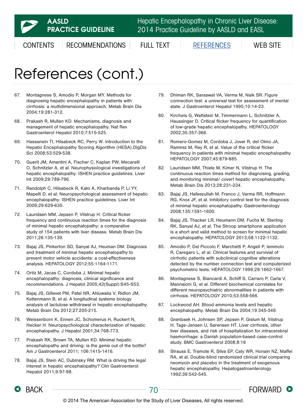<span id="page-69-0"></span>

[CONTENTS](#page-1-0) [RECOMMENDATIONS](#page-2-0) [FULL TEXT](#page-39-0) [REFERENCES](#page-66-0) [WEB SITE](http://aasld.org/practiceguidelines/Pages/guidelinelisting.aspx)

# References (cont.)

- 67. Montagnese S, Amodio P, Morgan MY. Methods for diagnosing hepatic encephalopathy in patients with cirrhosis: a multidimensional approach. Metab Brain Dis 2004;19:281-312.
- 68. Prakash R, Mullen KD. Mechanisms, diagnosis and management of hepatic encephalopathy. Nat Rev Gastroenterol Hepatol 2010;7:515-525.
- 69. Hassanein TI, Hilsabeck RC, Perry W. Introduction to the Hepatic Encephalopathy Scoring Algorithm (HESA).DigDis Sci 2008;53:529-538.
- 70. Guerit JM, Amantini A, Fischer C, Kaplan PW, Mecarelli O, Schnitzler A, et al. Neurophysiological investigations of hepatic encephalopathy: ISHEN practice guidelines. Liver Int 2009;29:789-796.
- 71. Randolph C, Hilsabeck R, Kato A, Kharbanda P, Li YY, Mapelli D, et al. Neuropsychological assessment of hepatic encephalopathy: ISHEN practice guidelines. Liver Int 2009;29:629-635.
- 72. Lauridsen MM, Jepsen P, Vilstrup H. Critical flicker frequency and continuous reaction times for the diagnosis of minimal hepatic encephalopathy: a comparative study of 154 patients with liver disease. Metab Brain Dis 2011;26:135-139.
- 73. Bajaj JS, Pinkerton SD, Sanyal AJ, Heuman DM. Diagnosis and treatment of minimal hepatic encephalopathy to prevent motor vehicle accidents: a cost-effectiveness analysis. HEPATOLOGY 2012;55:1164-1171.
- 74. Ortiz M, Jacas C, Cordoba J. Minimal hepatic encephalopathy: diagnosis, clinical significance and recommendations. J Hepatol 2005;42(Suppl):S45-S53.
- 75. Bajaj JS, Gillevet PM, Patel NR, Ahluwalia V, Ridlon JM, Kettenmann B, et al. A longitudinal systems biology analysis of lactulose withdrawal in hepatic encephalopathy. Metab Brain Dis 2012;27:205-215.
- 76. Weissenborn K, Ennen JC, Schomerus H, Ruckert N, Hecker H. Neuropsychological characterization of hepatic encephalopathy. J Hepatol 2001;34:768-773.
- 77. Prakash RK, Brown TA, Mullen KD. Minimal hepatic encephalopathy and driving: is the genie out of the bottle? Am J Gastroenterol 2011; 106:1415-1416.
- 78. Bajaj JS, Stein AC, Dubinsky RM. What is driving the legal interest in hepatic encephalopathy? Clin Gastroenterol Hepatol 2011;9:97-98.
- 79. Dhiman RK, Saraswat VA, Verma M, Naik SR. Figure connection test: a universal test for assessment of mental state. J Gastroenterol Hepatol 1995;10:14-23.
- 80. Kircheis G, Wettstein M, Timmermann L, Schnitzler A, Haussinger D. Critical flicker frequency for quantification of low-grade hepatic encephalopathy. HEPATOLOGY 2002;35:357-366.
- 81. Romero-Gomez M, Cordoba J, Jover R, del Olmo JA, Ramirez M, Rey R, et al. Value of the critical flicker frequency in patients with minimal hepatic encephalopathy. HEPATOLOGY 2007;45:879-885.
- 82. Lauridsen MM, Thiele M, Kimer N, Vilstrup H. The continuous reaction times method for diagnosing, grading, and monitoring minimal/ covert hepatic encephalopathy. Metab Brain Dis 2013;28:231-234.
- 83. Bajaj JS, Hafeezullah M, Franco J, Varma RR, Hoffmann RG, Knox JF, et al. Inhibitory control test for the diagnosis of minimal hepatic encephalopathy. Gastroenterology 2008;135:1591-1600.
- 84. Bajaj JS, Thacker LR, Heumann DM, Fuchs M, Sterling RK, Sanyal AJ, et al. The Stroop smartphone application is a short and valid method to screen for minimal hepatic encephalopathy. HEPATOLOGY 2013;58:1122-1132.
- 85. Amodio P, Del Piccolo F, Marchetti P, Angeli P, Iemmolo R, Caregaro L, et al. Clinical features and survivial of cirrhotic patients with subclinical cognitive alterations detected by the number connection test and computerized psychometric tests. HEPATOLOGY 1999;29:1662-1667.
- 86. Montagnese S, Biancardi A, Schiff S, Carraro P, Carla V, Mannaioni G, et al. Different biochemical correlates for different neuropsychiatric abnormalities in patients with cirrhosis. HEPATOLOGY 2010;53:558-566.
- 87. Lockwood AH. Blood ammonia levels and hepatic encephalopathy. Metab Brain Dis 2004;19:345-349.
- 88. Grønbaek H, Johnsen SP, Jepsen P, Gislum M, Vilstrup H, Tage-Jensen U, Sørensen HT. Liver cirrhosis, other liver diseases, and risk of hospitalization for intracerebral haemorrhage: a Danish population-based case-control study. BMC Gastroenterol 2008;8:16
- 89. Strauss E, Tramote R, Silva EP, Caly WR, Honain NZ, Maffei RA, et al. Double-blind randomized clinical trial comparing neomycin and placebo in the treatment of exogenous hepatic encephalopathy. Hepatogastroenterology 1992;39:542-545.

[BACK](#page-68-0) [FORWARD](#page-70-0)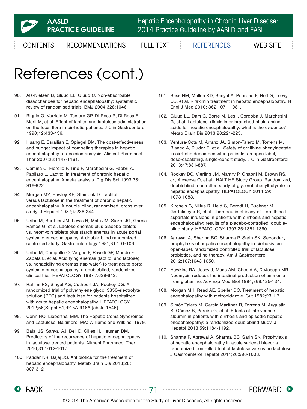Hepatic Encephalopathy in Chronic Liver Disease: 2014 Practice Guideline by AASLD and EASL

<span id="page-70-0"></span>

[CONTENTS](#page-1-0) [RECOMMENDATIONS](#page-2-0) [FULL TEXT](#page-39-0) [REFERENCES](#page-66-0) [WEB SITE](http://aasld.org/practiceguidelines/Pages/guidelinelisting.aspx)

# References (cont.)

- 90. Als-Nielsen B, Gluud LL, Gluud C. Non-absorbable disaccharides for hepatic encephalopathy: systematic review of randomised trials. BMJ 2004;328:1046.
- 91. Riggio O, Varriale M, Testore GP, Di Rosa R, Di Rosa E, Merli M, et al. Effect of lactitol and lactulose administration on the fecal flora in cirrhotic patients. J Clin Gastroenterol 1990;12:433-436.
- 92. Huang E, Esrailian E, Spiegel BM. The cost-effectiveness and budget impact of competing therapies in hepatic encephalopathy—a decision analysis. Aliment Pharmacol Ther 2007;26:1147-1161.
- 93. Camma C, Fiorello F, Tine F, Marchesini G, Fabbri A, Pagliaro L. Lactitol in treatment of chronic hepatic encephalopathy. A meta-analysis. Dig Dis Sci 1993;38: 916-922.
- 94. Morgan MY, Hawley KE, Stambuk D. Lactitol versus lactulose in the treatment of chronic hepatic encephalopathy. A double-blind, randomised, cross-over study. J Hepatol 1987;4:236-244.
- 95. Uribe M, Berthier JM, Lewis H, Mata JM, Sierra JG, García-Ramos G, et al. Lactose enemas plus placebo tablets vs. neomycin tablets plus starch enemas in acute portal systemic encephalopathy. A double-blind randomized controlled study. Gastroenterology 1981;81:101-106.
- 96. Uribe M, Campollo O, Vargas F, Ravelli GP, Mundo F, Zapata L, et al. Acidifying enemas (lactitol and lactose) vs. nonacidifying enemas (tap water) to treat acute portalsystemic encephalopathy: a doubleblind, randomized clinical trial. HEPATOLOGY 1987;7:639-643.
- 97. Rahimi RS, Singal AG, Cuthbert JA, Rockey DG. A randomized trial of polyethylene glycol 3350-electrolyte solution (PEG) and lactulose for patients hospitalized with acute hepatic encephalopathy. HEPATOLOGY 2012;56(Suppl S1):915A-916A.[abstr. 1546]
- 98. Conn HO, Lieberthal MM. The Hepatic Coma Syndromes and Lactulose. Baltimore, MA: Williams and Wilkins; 1979.
- 99. Bajaj JS, Sanyal AJ, Bell D, Gilles H, Heuman DM. Predictors of the recurrence of hepatic encephalopathy in lactulose-treated patients. Aliment Pharmacol Ther 2010;31:1012-1017.
- 100. Patidar KR, Bajaj JS. Antibiotics for the treatment of hepatic encephalopathy. Metab Brain Dis 2013;28: 307-312.
- 101. Bass NM, Mullen KD, Sanyal A, Poordad F, Neff G, Leevy CB, et al. Rifaximin treatment in hepatic encephalopathy. N Engl J Med 2010; 362:1071-1081.
- 102. Gluud LL, Dam G, Borre M, Les I, Cordoba J, Marchesini G, et al. Lactulose, rifaximin or branched chain amino acids for hepatic encephalopathy: what is the evidence? Metab Brain Dis 2013;28:221-225.
- 103. Ventura-Cots M, Arranz JA, Simón-Talero M, Torrens M, Blanco A, Riudor E, et al. Safety of ornithine phenylacetate in cirrhotic decompensated patients: an open-label, dose-escalating, single-cohort study. J Clin Gastroenterol 2013;47:881-887.
- 104. Rockey DC, Vierling JM, Mantry P, Ghabril M, Brown RS, Jr., Alexeeva O, et al.; HALT-HE Study Group. Randomized, doubleblind, controlled study of glycerol phenylbutyrate in hepatic encephalopathy. HEPATOLOGY 2014;59: 1073-1083.
- 105. Kircheis G, Nilius R, Held C, Berndt H, Buchner M, Gortelmeyer R, et al. Therapeutic efficacy of L-ornithine-Laspartate infusions in patients with cirrhosis and hepatic encephalopathy: results of a placebo-controlled, doubleblind study. HEPATOLOGY 1997;25:1351-1360.
- 106. Agrawal A, Sharma BC, Sharma P, Sarin SK. Secondary prophylaxis of hepatic encephalopathy in cirrhosis: an open-label, randomized controlled trial of lactulose, probiotics, and no therapy. Am J Gastroenterol 2012;107:1043-1050.
- 107. Hawkins RA, Jessy J, Mans AM, Chedid A, DeJoseph MR. Neomycin reduces the intestinal production of ammonia from glutamine. Adv Exp Med Biol 1994;368:125-134.
- 108. Morgan MH, Read AE, Speller DC. Treatment of hepatic encephalopathy with metronidazole. Gut 1982;23:1-7.
- 109. Simón-Talero M, García-Martínez R, Torrens M, Augustin S, Gómez S, Pereira G, et al. Effects of intravenous albumin in patients with cirrhosis and episodic hepatic encephalopathy: a randomized doubleblind study. J Hepatol 2013;59:1184-1192.
- 110. Sharma P, Agrawal A, Sharma BC, Sarin SK. Prophylaxis of hepatic encephalopathy in acute variceal bleed: a randomized controlled trial of lactulose versus no lactulose. J Gastroenterol Hepatol 2011;26:996-1003.

[BACK](#page-69-0) <del>[FORWARD](#page-71-0)</del>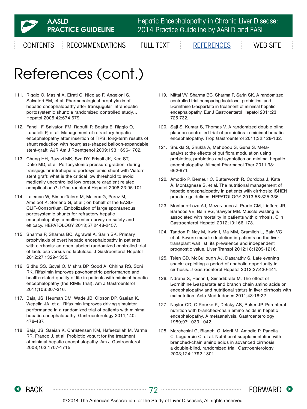<span id="page-71-0"></span>

[CONTENTS](#page-1-0) [RECOMMENDATIONS](#page-2-0) [FULL TEXT](#page-39-0) [REFERENCES](#page-66-0) [WEB SITE](http://aasld.org/practiceguidelines/Pages/guidelinelisting.aspx)

# References (cont.)

- 111. Riggio O, Masini A, Efrati C, Nicolao F, Angeloni S, Salvatori FM, et al. Pharmacological prophylaxis of hepatic encephalopathy after transjugular intrahepatic portosystemic shunt: a randomized controlled study. J Hepatol 2005;42:674-679.
- 112. Fanelli F, Salvatori FM, Rabuffi P, Boatta E, Riggio O, Lucatelli P, et al. Management of refractory hepatic encephalopathy after insertion of TIPS: long-term results of shunt reduction with hourglass-shaped balloon-expandable stent-graft. AJR Am J Roentgenol 2009;193:1696-1702.
- 113. Chung HH, Razavi MK, Sze DY, Frisoli JK, Kee ST, Dake MD, et al. Portosystemic pressure gradient during transjugular intrahepatic portosystemic shunt with Viatorr stent graft: what is the critical low threshold to avoid medically uncontrolled low pressure gradient related complications? J Gastroenterol Hepatol 2008;23:95-101.
- 114. Laleman W, Simon-Talero M, Maleux G, Perez M, Ameloot K, Soriano G, et al.; on behalf of the EASL-CLIF-Consortium. Embolization of large spontaneous portosystemic shunts for refractory hepatic encephalopathy: a multi-center survey on safety and efficacy. HEPATOLOGY 2013;57:2448-2457.
- 115. Sharma P, Sharma BC, Agrawal A, Sarin SK. Primary prophylaxis of overt hepatic encephalopathy in patients with cirrhosis: an open labeled randomized controlled trial of lactulose versus no lactulose. J Gastroenterol Hepatol 2012;27:1329-1335.
- 116. Sidhu SS, Goyal O, Mishra BP, Sood A, Chhina RS, Soni RK. Rifaximin improves psychometric performance and health-related quality of life in patients with minimal hepatic encephalopathy (the RIME Trial). Am J Gastroenterol 2011;106:307-316.
- 117. Bajaj JS, Heuman DM, Wade JB, Gibson DP, Saeian K, Wegelin JA, et al. Rifaximin improves driving simulator performance in a randomized trial of patients with minimal hepatic encephalopathy. Gastroenterology 2011;140: 478-487.
- 118. Bajaj JS, Saeian K, Christensen KM, Hafeezullah M, Varma RR, Franco J, et al. Probiotic yogurt for the treatment of minimal hepatic encephalopathy. Am J Gastroenterol 2008;103:1707-1715.
- 119. Mittal VV, Sharma BC, Sharma P, Sarin SK. A randomized controlled trial comparing lactulose, probiotics, and L-ornithine L-aspartate in treatment of minimal hepatic encephalopathy. Eur J Gastroenterol Hepatol 2011;23: 725-732.
- 120. Saji S, Kumar S, Thomas V. A randomized double blind placebo controlled trial of probiotics in minimal hepatic encephalopathy. Trop Gastroenterol 2011;32:128-132.
- 121. Shukla S, Shukla A, Mehboob S, Guha S. Metaanalysis: the effects of gut flora modulation using prebiotics, probiotics and synbiotics on minimal hepatic encephalopathy. Aliment Pharmacol Ther 2011;33: 662-671.
- 122. Amodio P, Bemeur C, Butterworth R, Cordoba J, Kata A, Montagnese S, et al. The nutritional management of hepatic encephalopathy in patients with cirrhosis: ISHEN practice guidelines. HEPATOLOGY 2013;58:325-336.
- 123. Montano-Loza AJ, Meza-Junco J, Prado CM, Lieffers JR, Baracos VE, Bain VG, Sawyer MB. Muscle wasting is associated with mortality in patients with cirrhosis. Clin Gastroenterol Hepatol 2012;10:166-173.
- 124. Tandon P, Ney M, Irwin I, Ma MM, Gramlich L, Bain VG, et al. Severe muscle depletion in patients on the liver transplant wait list: its prevalence and independent prognostic value. Liver Transpl 2012;18:1209-1216.
- 125. Tsien CD, McCullough AJ, Dasarathy S. Late evening snack: exploiting a period of anabolic opportunity in cirrhosis. J Gastroenterol Hepatol 2012;27:430-441.
- 126. Ndraha S, Hasan I, Simadibrata M. The effect of L-ornithine L-aspartate and branch chain amino acids on encephalopathy and nutritional status in liver cirrhosis with malnutrition. Acta Med Indones 2011;43:18-22.
- 127. Naylor CD, O'Rourke K, Detsky AS, Baker JP. Parenteral nutrition with branched-chain amino acids in hepatic encephalopathy. A metaanalysis. Gastroenterology 1989;97:1033-1042.
- 128. Marchesini G, Bianchi G, Merli M, Amodio P, Panella C, Loguercio C, et al. Nutritional supplementation with branched-chain amino acids in advanced cirrhosis: a double-blind, randomized trial. Gastroenterology 2003;124:1792-1801.

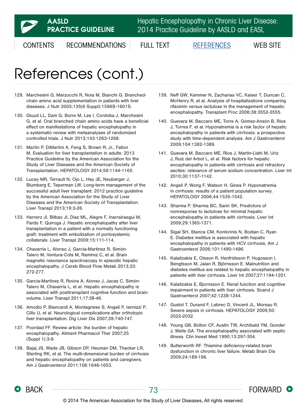## AASLD PRACTICE GUIDELINE

Hepatic Encephalopathy in Chronic Liver Disease: 2014 Practice Guideline by AASLD and EASL

<span id="page-72-0"></span>

[CONTENTS](#page-1-0) [RECOMMENDATIONS](#page-2-0) [FULL TEXT](#page-39-0) [REFERENCES](#page-66-0) [WEB SITE](http://aasld.org/practiceguidelines/Pages/guidelinelisting.aspx)

## References (cont.)

- 129. Marchesini G, Marzocchi R, Noia M, Bianchi G. Branchedchain amino acid supplementation in patients with liver diseases. J Nutr 2005;135(6 Suppl):1596S-1601S.
- 130. Gluud LL, Dam G, Borre M, Les I, Cordoba J, Marchesini G, et al. Oral branched chain amino acids have a beneficial effect on manifestations of hepatic encephalopathy in a systematic review with metaanalyses of randomized controlled trials. J Nutr 2013;143:1263-1268.
- 131. Martin P, DiMartini A, Feng S, Brown R, Jr., Fallon M. Evaluation for liver transplantation in adults: 2013 Practice Guideline by the American Association for the Study of Liver Diseases and the American Society of Transplantation. HEPATOLOGY 2014;59:1144-1165.
- 132. Lucey MR, Terrault N, Ojo L, Hay JE, Neuberger J, Blumberg E, Teperman LW. Long-term management of the successful adult liver transplant: 2012 practice guideline by the American Association for the Study of Liver Diseases and the American Society of Transplantation. Liver Transpl 2013;19:3-26.
- 133. Herrero JI, Bilbao JI, Diaz ML, Alegre F, Inarrairaegui M, Pardo F, Quiroga J. Hepatic encephalopathy after liver transplantation in a patient with a normally functioning graft: treatment with embolization of portosystemic collaterals. Liver Transpl 2009;15:111-114.
- 134. Chavarria L, Alonso J, García-Martínez R, Simón-Talero M, Ventura-Cots M, Ramírez C, et al. Brain magnetic resonance spectroscopy in episodic hepatic encephalopathy. J Cereb Blood Flow Metab 2013;33: 272-277.
- 135. Garcia-Martinez R, Rovira A, Alonso J, Jacas C, Simón-Talero M, Chavarria L, et al. Hepatic encephalopathy is associated with posttransplant cognitive function and brain volume. Liver Transpl 2011;17:38-46.
- 136. Amodio P, Biancardi A, Montagnese S, Angeli P, Iannizzi P, Cillo U, et al. Neurological complications after orthotopic liver transplantation. Dig Liver Dis 2007;39:740-747.
- 137. Poordad FF. Review article: the burden of hepatic encephalopathy. Aliment Pharmacol Ther 2007;25 (Suppl 1):3-9.
- 138. Bajaj JS, Wade JB, Gibson DP, Heuman DM, Thacker LR, Sterling RK, et al. The multi-dimensional burden of cirrhosis and hepatic encephalopathy on patients and caregivers. Am J Gastroenterol 2011;106:1646-1653.
- 139. Neff GW, Kemmer N, Zacharias VC, Kaiser T, Duncan C, McHenry R, et al. Analysis of hospitalizations comparing rifaximin versus lactulose in the management of hepatic encephalopathy. Transplant Proc 2006;38:3552-3555.
- 140. Guevara M, Baccaro ME, Torre A, Gómez-Ansón B, Ríos J, Torres F, et al. Hyponatremia is a risk factor of hepatic encephalopathy in patients with cirrhosis: a prospective study with time-dependent analysis. Am J Gastroenterol 2009;104:1382-1389.
- 141. Guevara M, Baccaro ME, Ríos J, Martín-Llahí M, Uriz J, Ruiz del Arbol L, et al. Risk factors for hepatic encephalopathy in patients with cirrhosis and refractory ascites: relevance of serum sodium concentration. Liver Int 2010;30:1137-1142.
- 142. Angeli P, Wong F, Watson H, Gines P. Hyponatremia in cirrhosis: results of a patient population survey. HEPATOLOGY 2006;44:1535-1542.
- 143. Sharma P, Sharma BC, Sarin SK. Predictors of nonresponse to lactulose for minimal hepatic encephalopathy in patients with cirrhosis. Liver Int 2009;29:1365-1371.
- 144. Sigal SH, Stanca CM, Kontorinis N, Bodian C, Ryan E. Diabetes mellitus is associated with hepatic encephalopathy in patients with HCV cirrhosis. Am J Gastroenterol 2006;101:1490-1496.
- 145. Kalaitzakis E, Olsson R, Henfridsson P, Hugosson I, Bengtsson M, Jalan R, Bjőrnsson E. Malnutrition and diabetes mellitus are related to hepatic encephalopathy in patients with liver cirrhosis. Liver Int 2007;27:1194-1201.
- 146. Kalaitzakis E, Bjornsson E. Renal function and cognitive impairment in patients with liver cirrhosis. Scand J Gastroenterol 2007;42:1238-1244.
- 147. Gustot T, Durand F, Lebrec D, Vincent JL, Moreau R. Severe sepsis in cirrhosis. HEPATOLOGY 2009;50: 2022-2032.
- 148. Young GB, Bolton CF, Austin TW, Archibald YM, Gonder J, Wells GA. The encephalopathy associated with septic illness. Clin Invest Med 1990;13:297-304.
- 149. Butterworth RF. Thiamine deficiency-related brain dysfunction in chronic liver failure. Metab Brain Dis 2009;24:189-196.

[BACK](#page-71-0) <del>Example 20</del> T3 THE 20 TO RESERVARD